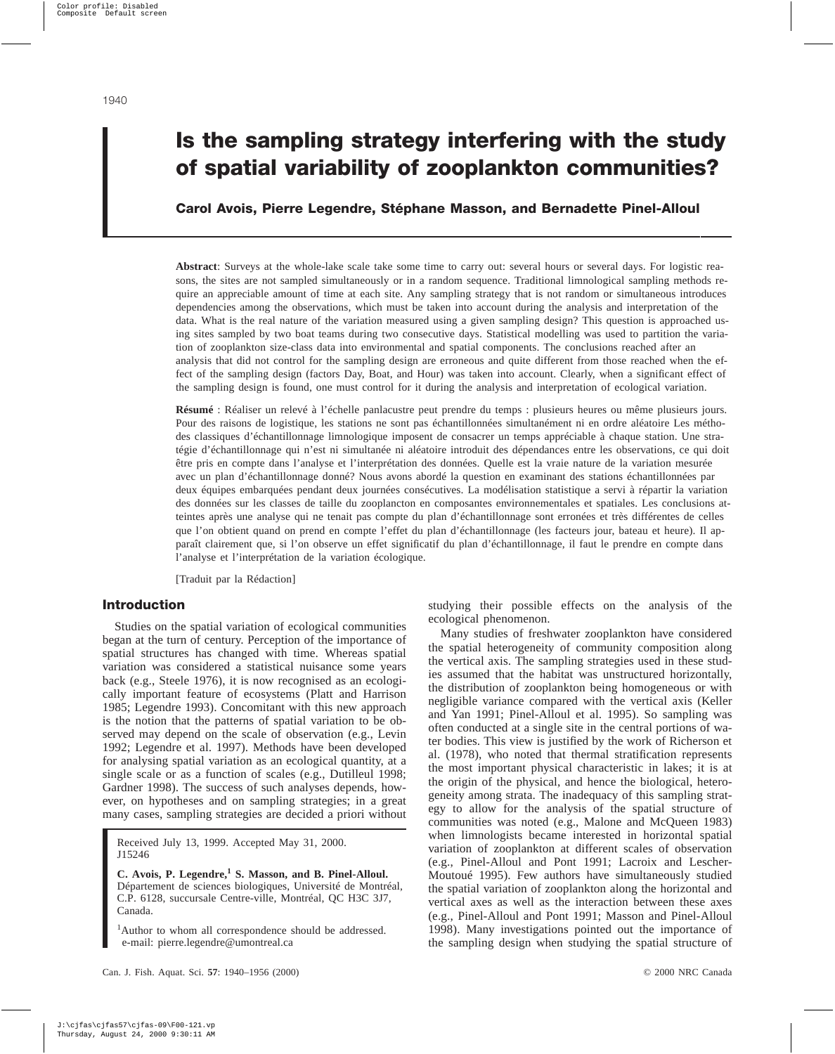# **Is the sampling strategy interfering with the study of spatial variability of zooplankton communities?**

## **Carol Avois, Pierre Legendre, Stéphane Masson, and Bernadette Pinel-Alloul**

**Abstract**: Surveys at the whole-lake scale take some time to carry out: several hours or several days. For logistic reasons, the sites are not sampled simultaneously or in a random sequence. Traditional limnological sampling methods require an appreciable amount of time at each site. Any sampling strategy that is not random or simultaneous introduces dependencies among the observations, which must be taken into account during the analysis and interpretation of the data. What is the real nature of the variation measured using a given sampling design? This question is approached using sites sampled by two boat teams during two consecutive days. Statistical modelling was used to partition the variation of zooplankton size-class data into environmental and spatial components. The conclusions reached after an analysis that did not control for the sampling design are erroneous and quite different from those reached when the effect of the sampling design (factors Day, Boat, and Hour) was taken into account. Clearly, when a significant effect of the sampling design is found, one must control for it during the analysis and interpretation of ecological variation.

**Résumé** : Réaliser un relevé à l'échelle panlacustre peut prendre du temps : plusieurs heures ou même plusieurs jours. Pour des raisons de logistique, les stations ne sont pas échantillonnées simultanément ni en ordre aléatoire Les méthodes classiques d'échantillonnage limnologique imposent de consacrer un temps appréciable à chaque station. Une stratégie d'échantillonnage qui n'est ni simultanée ni aléatoire introduit des dépendances entre les observations, ce qui doit être pris en compte dans l'analyse et l'interprétation des données. Quelle est la vraie nature de la variation mesurée avec un plan d'échantillonnage donné? Nous avons abordé la question en examinant des stations échantillonnées par deux équipes embarquées pendant deux journées consécutives. La modélisation statistique a servi à répartir la variation des données sur les classes de taille du zooplancton en composantes environnementales et spatiales. Les conclusions atteintes après une analyse qui ne tenait pas compte du plan d'échantillonnage sont erronées et très différentes de celles que l'on obtient quand on prend en compte l'effet du plan d'échantillonnage (les facteurs jour, bateau et heure). Il apparaît clairement que, si l'on observe un effet significatif du plan d'échantillonnage, il faut le prendre en compte dans l'analyse et l'interprétation de la variation écologique.

[Traduit par la Rédaction]

## **Introduction**

Studies on the spatial variation of ecological communities began at the turn of century. Perception of the importance of spatial structures has changed with time. Whereas spatial variation was considered a statistical nuisance some years back (e.g., Steele 1976), it is now recognised as an ecologically important feature of ecosystems (Platt and Harrison 1985; Legendre 1993). Concomitant with this new approach is the notion that the patterns of spatial variation to be observed may depend on the scale of observation (e.g., Levin 1992; Legendre et al. 1997). Methods have been developed for analysing spatial variation as an ecological quantity, at a single scale or as a function of scales (e.g., Dutilleul 1998; Gardner 1998). The success of such analyses depends, however, on hypotheses and on sampling strategies; in a great many cases, sampling strategies are decided a priori without

Received July 13, 1999. Accepted May 31, 2000. J15246

**C. Avois, P. Legendre,<sup>1</sup> S. Masson, and B. Pinel-Alloul.** Département de sciences biologiques, Université de Montréal, C.P. 6128, succursale Centre-ville, Montréal, QC H3C 3J7, Canada.

<sup>1</sup>Author to whom all correspondence should be addressed. e-mail: pierre.legendre@umontreal.ca

studying their possible effects on the analysis of the ecological phenomenon.

Many studies of freshwater zooplankton have considered the spatial heterogeneity of community composition along the vertical axis. The sampling strategies used in these studies assumed that the habitat was unstructured horizontally, the distribution of zooplankton being homogeneous or with negligible variance compared with the vertical axis (Keller and Yan 1991; Pinel-Alloul et al. 1995). So sampling was often conducted at a single site in the central portions of water bodies. This view is justified by the work of Richerson et al. (1978), who noted that thermal stratification represents the most important physical characteristic in lakes; it is at the origin of the physical, and hence the biological, heterogeneity among strata. The inadequacy of this sampling strategy to allow for the analysis of the spatial structure of communities was noted (e.g., Malone and McQueen 1983) when limnologists became interested in horizontal spatial variation of zooplankton at different scales of observation (e.g., Pinel-Alloul and Pont 1991; Lacroix and Lescher-Moutoué 1995). Few authors have simultaneously studied the spatial variation of zooplankton along the horizontal and vertical axes as well as the interaction between these axes (e.g., Pinel-Alloul and Pont 1991; Masson and Pinel-Alloul 1998). Many investigations pointed out the importance of the sampling design when studying the spatial structure of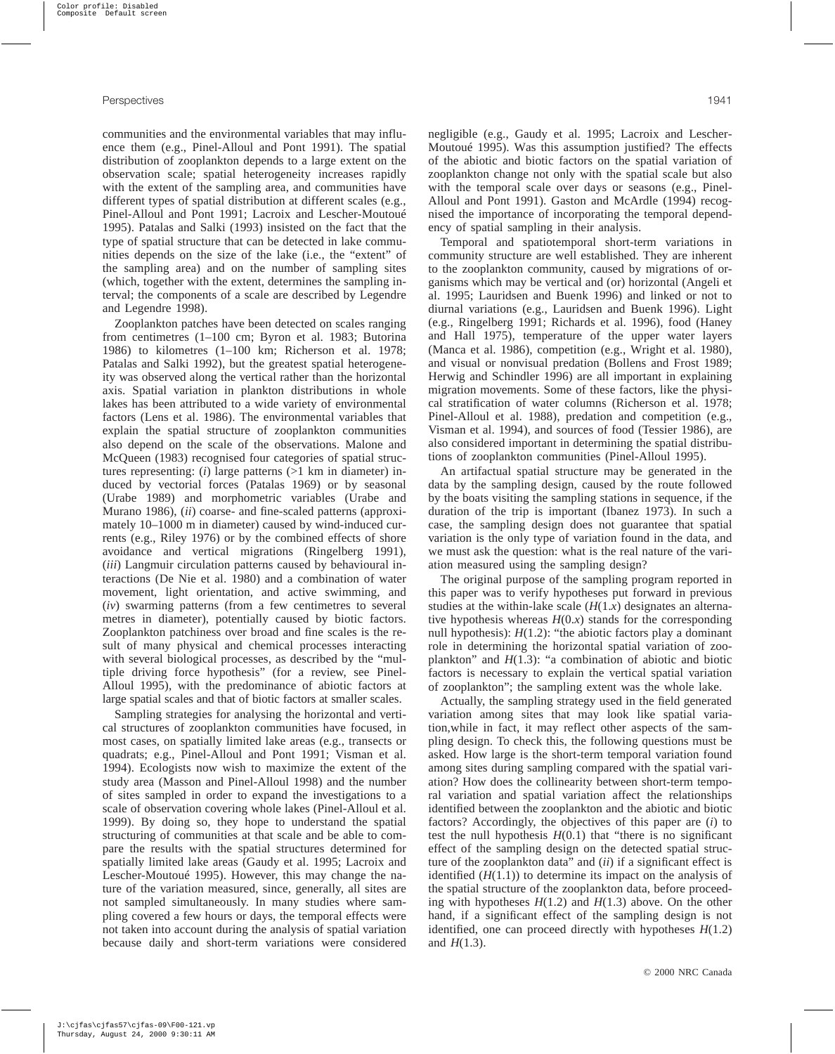communities and the environmental variables that may influence them (e.g., Pinel-Alloul and Pont 1991). The spatial distribution of zooplankton depends to a large extent on the observation scale; spatial heterogeneity increases rapidly with the extent of the sampling area, and communities have different types of spatial distribution at different scales (e.g., Pinel-Alloul and Pont 1991; Lacroix and Lescher-Moutoué 1995). Patalas and Salki (1993) insisted on the fact that the type of spatial structure that can be detected in lake communities depends on the size of the lake (i.e., the "extent" of the sampling area) and on the number of sampling sites (which, together with the extent, determines the sampling interval; the components of a scale are described by Legendre and Legendre 1998).

Zooplankton patches have been detected on scales ranging from centimetres (1–100 cm; Byron et al. 1983; Butorina 1986) to kilometres (1–100 km; Richerson et al. 1978; Patalas and Salki 1992), but the greatest spatial heterogeneity was observed along the vertical rather than the horizontal axis. Spatial variation in plankton distributions in whole lakes has been attributed to a wide variety of environmental factors (Lens et al. 1986). The environmental variables that explain the spatial structure of zooplankton communities also depend on the scale of the observations. Malone and McQueen (1983) recognised four categories of spatial structures representing: (*i*) large patterns (>1 km in diameter) induced by vectorial forces (Patalas 1969) or by seasonal (Urabe 1989) and morphometric variables (Urabe and Murano 1986), (*ii*) coarse- and fine-scaled patterns (approximately 10–1000 m in diameter) caused by wind-induced currents (e.g., Riley 1976) or by the combined effects of shore avoidance and vertical migrations (Ringelberg 1991), (*iii*) Langmuir circulation patterns caused by behavioural interactions (De Nie et al. 1980) and a combination of water movement, light orientation, and active swimming, and (*iv*) swarming patterns (from a few centimetres to several metres in diameter), potentially caused by biotic factors. Zooplankton patchiness over broad and fine scales is the result of many physical and chemical processes interacting with several biological processes, as described by the "multiple driving force hypothesis" (for a review, see Pinel-Alloul 1995), with the predominance of abiotic factors at large spatial scales and that of biotic factors at smaller scales.

Sampling strategies for analysing the horizontal and vertical structures of zooplankton communities have focused, in most cases, on spatially limited lake areas (e.g., transects or quadrats; e.g., Pinel-Alloul and Pont 1991; Visman et al. 1994). Ecologists now wish to maximize the extent of the study area (Masson and Pinel-Alloul 1998) and the number of sites sampled in order to expand the investigations to a scale of observation covering whole lakes (Pinel-Alloul et al. 1999). By doing so, they hope to understand the spatial structuring of communities at that scale and be able to compare the results with the spatial structures determined for spatially limited lake areas (Gaudy et al. 1995; Lacroix and Lescher-Moutoué 1995). However, this may change the nature of the variation measured, since, generally, all sites are not sampled simultaneously. In many studies where sampling covered a few hours or days, the temporal effects were not taken into account during the analysis of spatial variation because daily and short-term variations were considered negligible (e.g., Gaudy et al. 1995; Lacroix and Lescher-Moutoué 1995). Was this assumption justified? The effects of the abiotic and biotic factors on the spatial variation of zooplankton change not only with the spatial scale but also with the temporal scale over days or seasons (e.g., Pinel-Alloul and Pont 1991). Gaston and McArdle (1994) recognised the importance of incorporating the temporal dependency of spatial sampling in their analysis.

Temporal and spatiotemporal short-term variations in community structure are well established. They are inherent to the zooplankton community, caused by migrations of organisms which may be vertical and (or) horizontal (Angeli et al. 1995; Lauridsen and Buenk 1996) and linked or not to diurnal variations (e.g., Lauridsen and Buenk 1996). Light (e.g., Ringelberg 1991; Richards et al. 1996), food (Haney and Hall 1975), temperature of the upper water layers (Manca et al. 1986), competition (e.g., Wright et al. 1980), and visual or nonvisual predation (Bollens and Frost 1989; Herwig and Schindler 1996) are all important in explaining migration movements. Some of these factors, like the physical stratification of water columns (Richerson et al. 1978; Pinel-Alloul et al. 1988), predation and competition (e.g., Visman et al. 1994), and sources of food (Tessier 1986), are also considered important in determining the spatial distributions of zooplankton communities (Pinel-Alloul 1995).

An artifactual spatial structure may be generated in the data by the sampling design, caused by the route followed by the boats visiting the sampling stations in sequence, if the duration of the trip is important (Ibanez 1973). In such a case, the sampling design does not guarantee that spatial variation is the only type of variation found in the data, and we must ask the question: what is the real nature of the variation measured using the sampling design?

The original purpose of the sampling program reported in this paper was to verify hypotheses put forward in previous studies at the within-lake scale  $(H(1.x)$  designates an alternative hypothesis whereas  $H(0.x)$  stands for the corresponding null hypothesis):  $H(1.2)$ : "the abiotic factors play a dominant role in determining the horizontal spatial variation of zooplankton" and *H*(1.3): "a combination of abiotic and biotic factors is necessary to explain the vertical spatial variation of zooplankton"; the sampling extent was the whole lake.

Actually, the sampling strategy used in the field generated variation among sites that may look like spatial variation,while in fact, it may reflect other aspects of the sampling design. To check this, the following questions must be asked. How large is the short-term temporal variation found among sites during sampling compared with the spatial variation? How does the collinearity between short-term temporal variation and spatial variation affect the relationships identified between the zooplankton and the abiotic and biotic factors? Accordingly, the objectives of this paper are (*i*) to test the null hypothesis  $H(0.1)$  that "there is no significant" effect of the sampling design on the detected spatial structure of the zooplankton data" and (*ii*) if a significant effect is identified  $(H(1.1))$  to determine its impact on the analysis of the spatial structure of the zooplankton data, before proceeding with hypotheses *H*(1.2) and *H*(1.3) above. On the other hand, if a significant effect of the sampling design is not identified, one can proceed directly with hypotheses *H*(1.2) and *H*(1.3).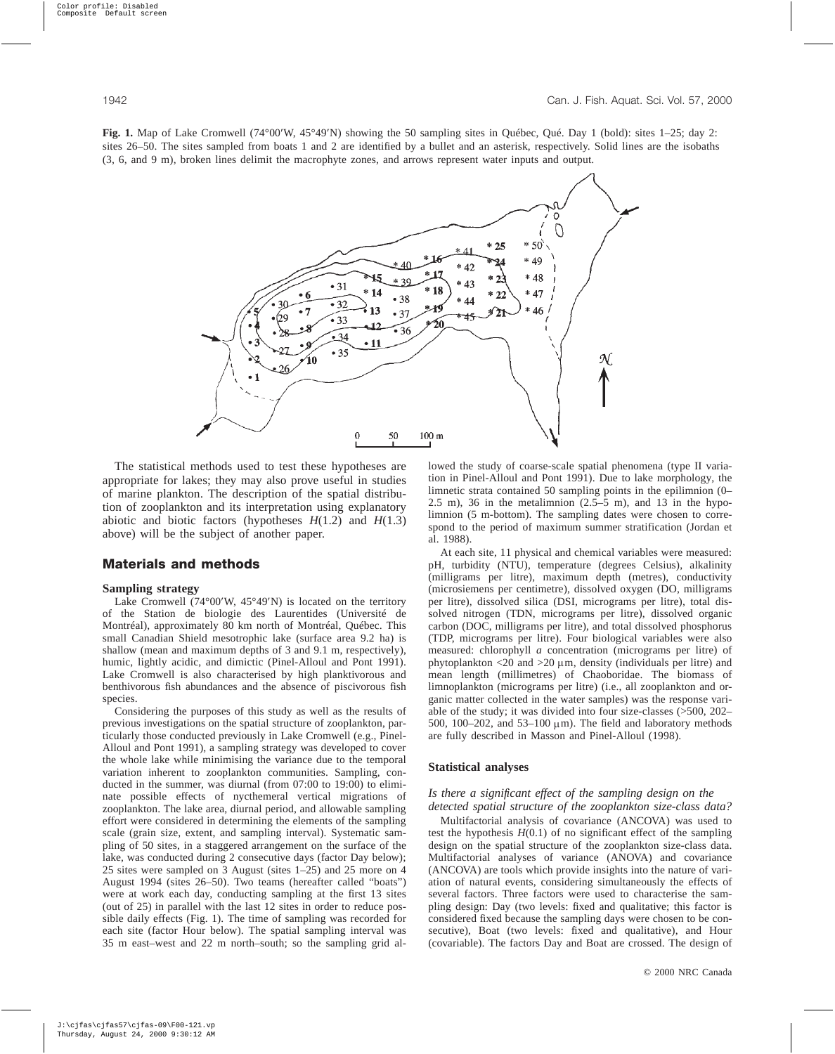**Fig. 1.** Map of Lake Cromwell (74°00′W, 45°49′N) showing the 50 sampling sites in Québec, Qué. Day 1 (bold): sites 1–25; day 2: sites 26–50. The sites sampled from boats 1 and 2 are identified by a bullet and an asterisk, respectively. Solid lines are the isobaths (3, 6, and 9 m), broken lines delimit the macrophyte zones, and arrows represent water inputs and output.



The statistical methods used to test these hypotheses are appropriate for lakes; they may also prove useful in studies of marine plankton. The description of the spatial distribution of zooplankton and its interpretation using explanatory abiotic and biotic factors (hypotheses *H*(1.2) and *H*(1.3) above) will be the subject of another paper.

## **Materials and methods**

#### **Sampling strategy**

Lake Cromwell (74°00′W, 45°49′N) is located on the territory of the Station de biologie des Laurentides (Université de Montréal), approximately 80 km north of Montréal, Québec. This small Canadian Shield mesotrophic lake (surface area 9.2 ha) is shallow (mean and maximum depths of 3 and 9.1 m, respectively), humic, lightly acidic, and dimictic (Pinel-Alloul and Pont 1991). Lake Cromwell is also characterised by high planktivorous and benthivorous fish abundances and the absence of piscivorous fish species.

Considering the purposes of this study as well as the results of previous investigations on the spatial structure of zooplankton, particularly those conducted previously in Lake Cromwell (e.g., Pinel-Alloul and Pont 1991), a sampling strategy was developed to cover the whole lake while minimising the variance due to the temporal variation inherent to zooplankton communities. Sampling, conducted in the summer, was diurnal (from 07:00 to 19:00) to eliminate possible effects of nycthemeral vertical migrations of zooplankton. The lake area, diurnal period, and allowable sampling effort were considered in determining the elements of the sampling scale (grain size, extent, and sampling interval). Systematic sampling of 50 sites, in a staggered arrangement on the surface of the lake, was conducted during 2 consecutive days (factor Day below); 25 sites were sampled on 3 August (sites 1–25) and 25 more on 4 August 1994 (sites 26–50). Two teams (hereafter called "boats") were at work each day, conducting sampling at the first 13 sites (out of 25) in parallel with the last 12 sites in order to reduce possible daily effects (Fig. 1). The time of sampling was recorded for each site (factor Hour below). The spatial sampling interval was 35 m east–west and 22 m north–south; so the sampling grid allowed the study of coarse-scale spatial phenomena (type II variation in Pinel-Alloul and Pont 1991). Due to lake morphology, the limnetic strata contained 50 sampling points in the epilimnion (0–  $2.5$  m),  $36$  in the metalimnion  $(2.5-5$  m), and  $13$  in the hypolimnion (5 m-bottom). The sampling dates were chosen to correspond to the period of maximum summer stratification (Jordan et al. 1988).

At each site, 11 physical and chemical variables were measured: pH, turbidity (NTU), temperature (degrees Celsius), alkalinity (milligrams per litre), maximum depth (metres), conductivity (microsiemens per centimetre), dissolved oxygen (DO, milligrams per litre), dissolved silica (DSI, micrograms per litre), total dissolved nitrogen (TDN, micrograms per litre), dissolved organic carbon (DOC, milligrams per litre), and total dissolved phosphorus (TDP, micrograms per litre). Four biological variables were also measured: chlorophyll *a* concentration (micrograms per litre) of phytoplankton  $\langle 20 \text{ and } 20 \mu \text{m} \rangle$ , density (individuals per litre) and mean length (millimetres) of Chaoboridae. The biomass of limnoplankton (micrograms per litre) (i.e., all zooplankton and organic matter collected in the water samples) was the response variable of the study; it was divided into four size-classes (>500, 202– 500, 100–202, and 53–100  $\mu$ m). The field and laboratory methods are fully described in Masson and Pinel-Alloul (1998).

#### **Statistical analyses**

#### *Is there a significant effect of the sampling design on the detected spatial structure of the zooplankton size-class data?*

Multifactorial analysis of covariance (ANCOVA) was used to test the hypothesis  $H(0.1)$  of no significant effect of the sampling design on the spatial structure of the zooplankton size-class data. Multifactorial analyses of variance (ANOVA) and covariance (ANCOVA) are tools which provide insights into the nature of variation of natural events, considering simultaneously the effects of several factors. Three factors were used to characterise the sampling design: Day (two levels: fixed and qualitative; this factor is considered fixed because the sampling days were chosen to be consecutive), Boat (two levels: fixed and qualitative), and Hour (covariable). The factors Day and Boat are crossed. The design of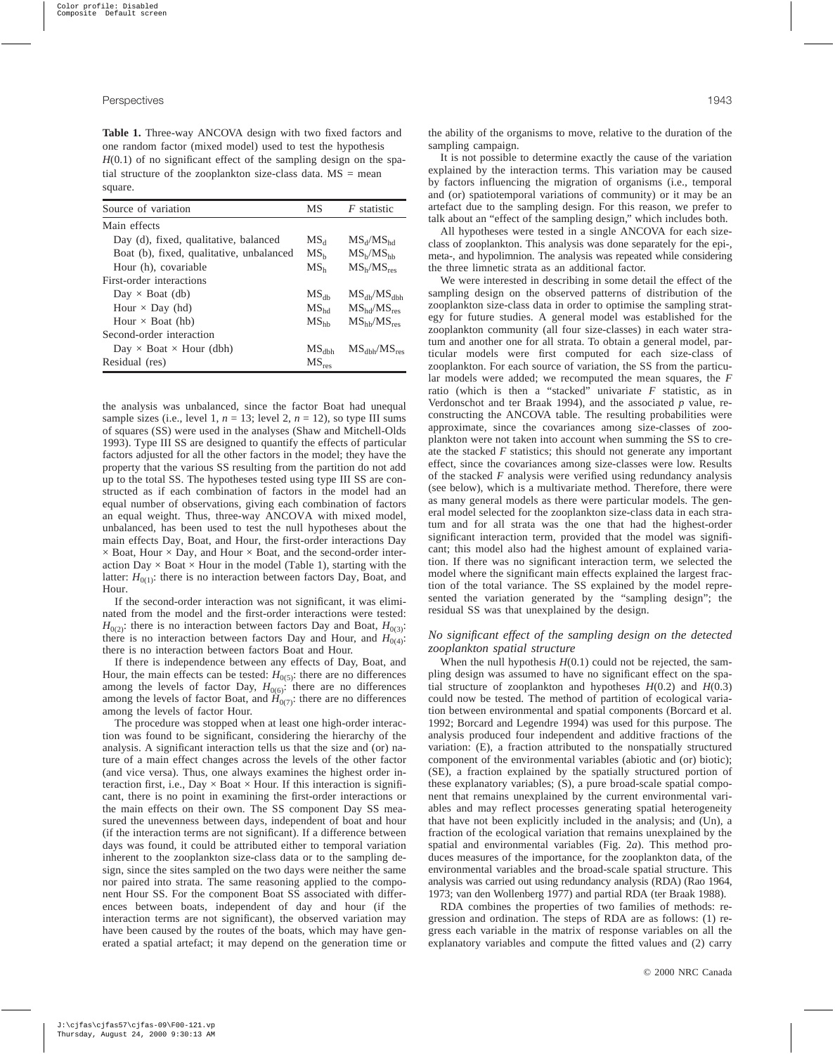**Table 1.** Three-way ANCOVA design with two fixed factors and one random factor (mixed model) used to test the hypothesis  $H(0.1)$  of no significant effect of the sampling design on the spatial structure of the zooplankton size-class data.  $MS = mean$ square.

| Source of variation                      | MS               | <i>F</i> statistic                 |
|------------------------------------------|------------------|------------------------------------|
| Main effects                             |                  |                                    |
| Day (d), fixed, qualitative, balanced    | MS <sub>d</sub>  | $MS_d/MS_{hd}$                     |
| Boat (b), fixed, qualitative, unbalanced | MS <sub>b</sub>  | MS <sub>b</sub> /MS <sub>hh</sub>  |
| Hour (h), covariable                     | MS <sub>b</sub>  | MS <sub>h</sub> /MS <sub>res</sub> |
| First-order interactions                 |                  |                                    |
| $Day \times Board$ (db)                  | $MS_{\rm dh}$    | $MS_{db}/MS_{dbh}$                 |
| Hour $\times$ Day (hd)                   | MS <sub>hd</sub> | $MS_{hd}/MS_{res}$                 |
| Hour $\times$ Boat (hb)                  | $MS_{hh}$        | $MS_{hh}/MS_{res}$                 |
| Second-order interaction                 |                  |                                    |
| Day $\times$ Boat $\times$ Hour (dbh)    | $MS_{dbh}$       | $MS_{dbh}/MS_{res}$                |
| Residual (res)                           | $MS_{res}$       |                                    |

the analysis was unbalanced, since the factor Boat had unequal sample sizes (i.e., level 1,  $n = 13$ ; level 2,  $n = 12$ ), so type III sums of squares (SS) were used in the analyses (Shaw and Mitchell-Olds 1993). Type III SS are designed to quantify the effects of particular factors adjusted for all the other factors in the model; they have the property that the various SS resulting from the partition do not add up to the total SS. The hypotheses tested using type III SS are constructed as if each combination of factors in the model had an equal number of observations, giving each combination of factors an equal weight. Thus, three-way ANCOVA with mixed model, unbalanced, has been used to test the null hypotheses about the main effects Day, Boat, and Hour, the first-order interactions Day  $\times$  Boat, Hour  $\times$  Day, and Hour  $\times$  Boat, and the second-order interaction Day  $\times$  Boat  $\times$  Hour in the model (Table 1), starting with the latter:  $H_{0(1)}$ : there is no interaction between factors Day, Boat, and Hour.

If the second-order interaction was not significant, it was eliminated from the model and the first-order interactions were tested:  $H_{0(2)}$ : there is no interaction between factors Day and Boat,  $H_{0(3)}$ : there is no interaction between factors Day and Hour, and  $H_{0(4)}$ : there is no interaction between factors Boat and Hour.

If there is independence between any effects of Day, Boat, and Hour, the main effects can be tested:  $H_{0(5)}$ : there are no differences among the levels of factor Day,  $H_{0(6)}$ : there are no differences among the levels of factor Boat, and  $\hat{H}_{0(7)}$ : there are no differences among the levels of factor Hour.

The procedure was stopped when at least one high-order interaction was found to be significant, considering the hierarchy of the analysis. A significant interaction tells us that the size and (or) nature of a main effect changes across the levels of the other factor (and vice versa). Thus, one always examines the highest order interaction first, i.e.,  $Day \times Board \times Hour$ . If this interaction is significant, there is no point in examining the first-order interactions or the main effects on their own. The SS component Day SS measured the unevenness between days, independent of boat and hour (if the interaction terms are not significant). If a difference between days was found, it could be attributed either to temporal variation inherent to the zooplankton size-class data or to the sampling design, since the sites sampled on the two days were neither the same nor paired into strata. The same reasoning applied to the component Hour SS. For the component Boat SS associated with differences between boats, independent of day and hour (if the interaction terms are not significant), the observed variation may have been caused by the routes of the boats, which may have generated a spatial artefact; it may depend on the generation time or the ability of the organisms to move, relative to the duration of the sampling campaign.

It is not possible to determine exactly the cause of the variation explained by the interaction terms. This variation may be caused by factors influencing the migration of organisms (i.e., temporal and (or) spatiotemporal variations of community) or it may be an artefact due to the sampling design. For this reason, we prefer to talk about an "effect of the sampling design," which includes both.

All hypotheses were tested in a single ANCOVA for each sizeclass of zooplankton. This analysis was done separately for the epi-, meta-, and hypolimnion. The analysis was repeated while considering the three limnetic strata as an additional factor.

We were interested in describing in some detail the effect of the sampling design on the observed patterns of distribution of the zooplankton size-class data in order to optimise the sampling strategy for future studies. A general model was established for the zooplankton community (all four size-classes) in each water stratum and another one for all strata. To obtain a general model, particular models were first computed for each size-class of zooplankton. For each source of variation, the SS from the particular models were added; we recomputed the mean squares, the *F* ratio (which is then a "stacked" univariate *F* statistic, as in Verdonschot and ter Braak 1994), and the associated *p* value, reconstructing the ANCOVA table. The resulting probabilities were approximate, since the covariances among size-classes of zooplankton were not taken into account when summing the SS to create the stacked *F* statistics; this should not generate any important effect, since the covariances among size-classes were low. Results of the stacked *F* analysis were verified using redundancy analysis (see below), which is a multivariate method. Therefore, there were as many general models as there were particular models. The general model selected for the zooplankton size-class data in each stratum and for all strata was the one that had the highest-order significant interaction term, provided that the model was significant; this model also had the highest amount of explained variation. If there was no significant interaction term, we selected the model where the significant main effects explained the largest fraction of the total variance. The SS explained by the model represented the variation generated by the "sampling design"; the residual SS was that unexplained by the design.

#### *No significant effect of the sampling design on the detected zooplankton spatial structure*

When the null hypothesis  $H(0.1)$  could not be rejected, the sampling design was assumed to have no significant effect on the spatial structure of zooplankton and hypotheses  $H(0.2)$  and  $H(0.3)$ could now be tested. The method of partition of ecological variation between environmental and spatial components (Borcard et al. 1992; Borcard and Legendre 1994) was used for this purpose. The analysis produced four independent and additive fractions of the variation: (E), a fraction attributed to the nonspatially structured component of the environmental variables (abiotic and (or) biotic); (SE), a fraction explained by the spatially structured portion of these explanatory variables; (S), a pure broad-scale spatial component that remains unexplained by the current environmental variables and may reflect processes generating spatial heterogeneity that have not been explicitly included in the analysis; and (Un), a fraction of the ecological variation that remains unexplained by the spatial and environmental variables (Fig. 2*a*). This method produces measures of the importance, for the zooplankton data, of the environmental variables and the broad-scale spatial structure. This analysis was carried out using redundancy analysis (RDA) (Rao 1964, 1973; van den Wollenberg 1977) and partial RDA (ter Braak 1988).

RDA combines the properties of two families of methods: regression and ordination. The steps of RDA are as follows: (1) regress each variable in the matrix of response variables on all the explanatory variables and compute the fitted values and (2) carry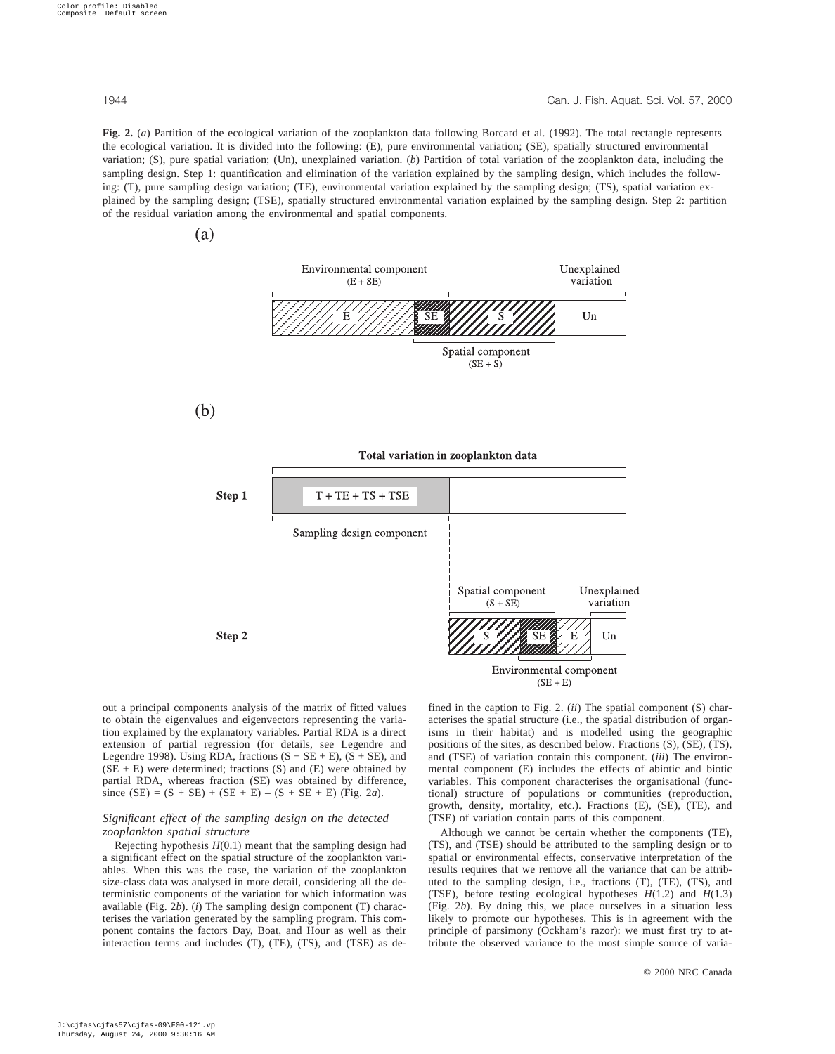**Fig. 2.** (*a*) Partition of the ecological variation of the zooplankton data following Borcard et al. (1992). The total rectangle represents the ecological variation. It is divided into the following: (E), pure environmental variation; (SE), spatially structured environmental variation; (S), pure spatial variation; (Un), unexplained variation. (*b*) Partition of total variation of the zooplankton data, including the sampling design. Step 1: quantification and elimination of the variation explained by the sampling design, which includes the following: (T), pure sampling design variation; (TE), environmental variation explained by the sampling design; (TS), spatial variation explained by the sampling design; (TSE), spatially structured environmental variation explained by the sampling design. Step 2: partition of the residual variation among the environmental and spatial components.





out a principal components analysis of the matrix of fitted values to obtain the eigenvalues and eigenvectors representing the variation explained by the explanatory variables. Partial RDA is a direct extension of partial regression (for details, see Legendre and Legendre 1998). Using RDA, fractions  $(S + SE + E)$ ,  $(S + SE)$ , and  $(SE + E)$  were determined; fractions  $(S)$  and  $(E)$  were obtained by partial RDA, whereas fraction (SE) was obtained by difference, since  $(SE) = (S + SE) + (SE + E) - (S + SE + E)$  (Fig. 2*a*).

## *Significant effect of the sampling design on the detected zooplankton spatial structure*

Rejecting hypothesis *H*(0.1) meant that the sampling design had a significant effect on the spatial structure of the zooplankton variables. When this was the case, the variation of the zooplankton size-class data was analysed in more detail, considering all the deterministic components of the variation for which information was available (Fig. 2*b*). (*i*) The sampling design component (T) characterises the variation generated by the sampling program. This component contains the factors Day, Boat, and Hour as well as their interaction terms and includes (T), (TE), (TS), and (TSE) as defined in the caption to Fig. 2. (*ii*) The spatial component (S) characterises the spatial structure (i.e., the spatial distribution of organisms in their habitat) and is modelled using the geographic positions of the sites, as described below. Fractions (S), (SE), (TS), and (TSE) of variation contain this component. (*iii*) The environmental component (E) includes the effects of abiotic and biotic variables. This component characterises the organisational (functional) structure of populations or communities (reproduction, growth, density, mortality, etc.). Fractions (E), (SE), (TE), and (TSE) of variation contain parts of this component.

Although we cannot be certain whether the components (TE), (TS), and (TSE) should be attributed to the sampling design or to spatial or environmental effects, conservative interpretation of the results requires that we remove all the variance that can be attributed to the sampling design, i.e., fractions (T), (TE), (TS), and (TSE), before testing ecological hypotheses *H*(1.2) and *H*(1.3) (Fig. 2*b*). By doing this, we place ourselves in a situation less likely to promote our hypotheses. This is in agreement with the principle of parsimony (Ockham's razor): we must first try to attribute the observed variance to the most simple source of varia-

(a)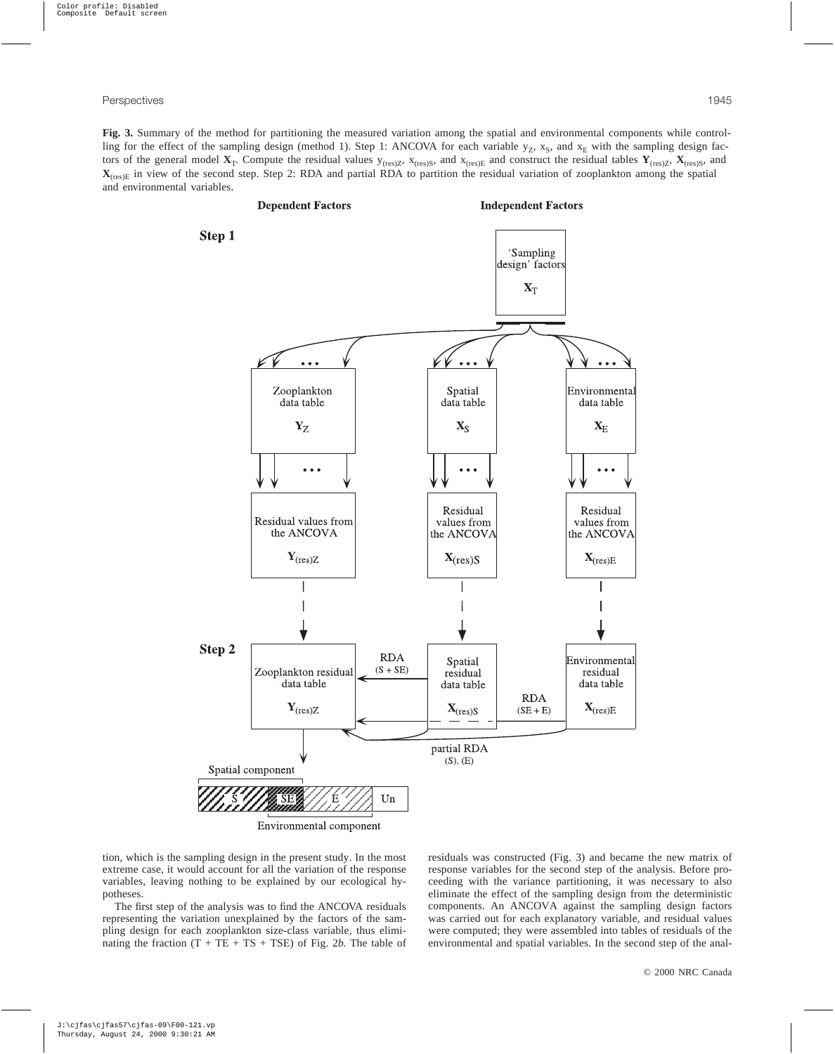**Fig. 3.** Summary of the method for partitioning the measured variation among the spatial and environmental components while controlling for the effect of the sampling design (method 1). Step 1: ANCOVA for each variable  $y_Z$ ,  $x_S$ , and  $x_E$  with the sampling design factors of the general model  $X_T$ . Compute the residual values  $y_{(res)Z}$ ,  $x_{(res)S}$ , and  $x_{(res)E}$  and construct the residual tables  $Y_{(res)Z}$ ,  $X_{(res)S}$ , and **X**<sub>(res)E</sub> in view of the second step. Step 2: RDA and partial RDA to partition the residual variation of zooplankton among the spatial and environmental variables.



tion, which is the sampling design in the present study. In the most extreme case, it would account for all the variation of the response variables, leaving nothing to be explained by our ecological hypotheses.

The first step of the analysis was to find the ANCOVA residuals representing the variation unexplained by the factors of the sampling design for each zooplankton size-class variable, thus eliminating the fraction  $(T + TE + TS + TSE)$  of Fig. 2*b*. The table of residuals was constructed (Fig. 3) and became the new matrix of response variables for the second step of the analysis. Before proceeding with the variance partitioning, it was necessary to also eliminate the effect of the sampling design from the deterministic components. An ANCOVA against the sampling design factors was carried out for each explanatory variable, and residual values were computed; they were assembled into tables of residuals of the environmental and spatial variables. In the second step of the anal-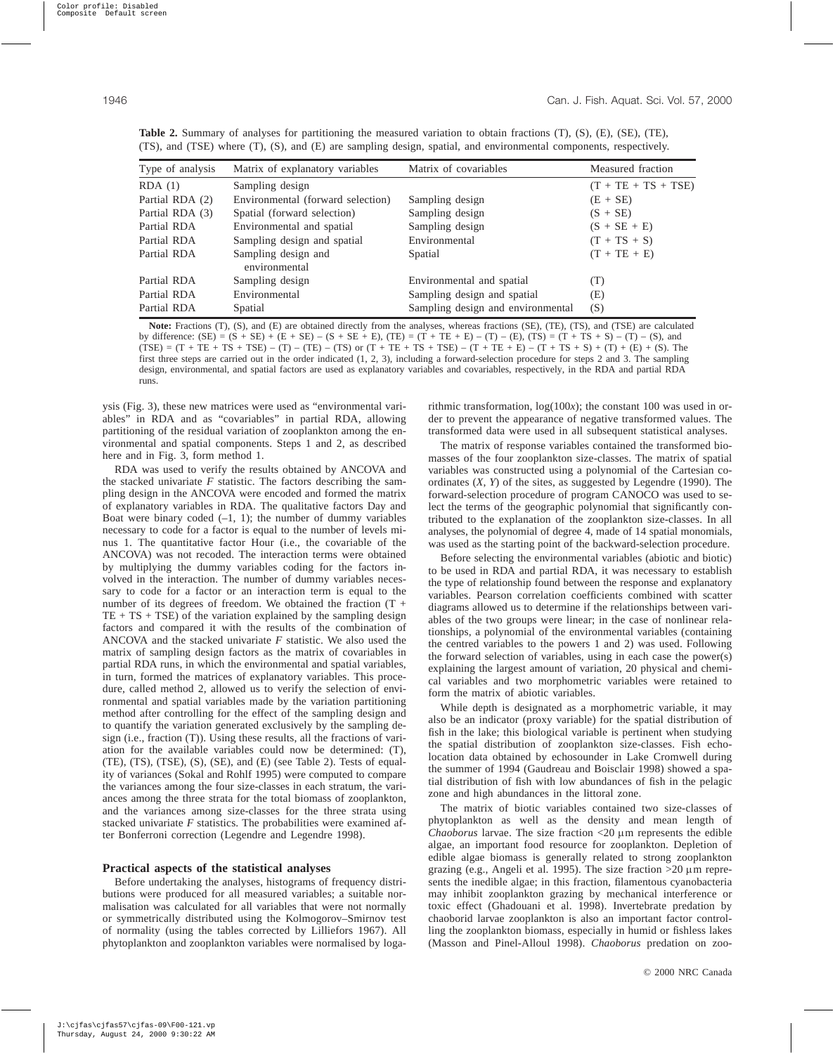| Type of analysis | Matrix of explanatory variables      | Matrix of covariables             | Measured fraction     |
|------------------|--------------------------------------|-----------------------------------|-----------------------|
| RDA(1)           | Sampling design                      |                                   | $(T + TE + TS + TSE)$ |
| Partial RDA (2)  | Environmental (forward selection)    | Sampling design                   | $(E + SE)$            |
| Partial RDA (3)  | Spatial (forward selection)          | Sampling design                   | $(S + SE)$            |
| Partial RDA      | Environmental and spatial            | Sampling design                   | $(S + SE + E)$        |
| Partial RDA      | Sampling design and spatial          | Environmental                     | $(T + TS + S)$        |
| Partial RDA      | Sampling design and<br>environmental | Spatial                           | $(T + TE + E)$        |
| Partial RDA      | Sampling design                      | Environmental and spatial         | (T)                   |
| Partial RDA      | Environmental                        | Sampling design and spatial       | (E)                   |
| Partial RDA      | Spatial                              | Sampling design and environmental | (S)                   |

**Table 2.** Summary of analyses for partitioning the measured variation to obtain fractions (T), (S), (E), (SE), (TE), (TS), and (TSE) where (T), (S), and (E) are sampling design, spatial, and environmental components, respectively.

**Note:** Fractions (T), (S), and (E) are obtained directly from the analyses, whereas fractions (SE), (TE), (TS), and (TSE) are calculated by difference:  $(SE) = (S + SE) + (E + SE) - (S + SE + E)$ ,  $(TE) = (T + TE + E) - (T) - (E)$ ,  $(TS) = (T + TS + S) - (T) - (S)$ , and  $(TSE) = (T + TE + TS + TSE) - (T) - (TE) - (TS)$  or  $(T + TE + TS + TSE) - (T + TE + E) - (T + TS + S) + (T) + (E) + (S)$ . The first three steps are carried out in the order indicated (1, 2, 3), including a forward-selection procedure for steps 2 and 3. The sampling design, environmental, and spatial factors are used as explanatory variables and covariables, respectively, in the RDA and partial RDA runs.

ysis (Fig. 3), these new matrices were used as "environmental variables" in RDA and as "covariables" in partial RDA, allowing partitioning of the residual variation of zooplankton among the environmental and spatial components. Steps 1 and 2, as described here and in Fig. 3, form method 1.

RDA was used to verify the results obtained by ANCOVA and the stacked univariate  $F$  statistic. The factors describing the sampling design in the ANCOVA were encoded and formed the matrix of explanatory variables in RDA. The qualitative factors Day and Boat were binary coded  $(-1, 1)$ ; the number of dummy variables necessary to code for a factor is equal to the number of levels minus 1. The quantitative factor Hour (i.e., the covariable of the ANCOVA) was not recoded. The interaction terms were obtained by multiplying the dummy variables coding for the factors involved in the interaction. The number of dummy variables necessary to code for a factor or an interaction term is equal to the number of its degrees of freedom. We obtained the fraction  $(T +$  $TE + TS + TSE$ ) of the variation explained by the sampling design factors and compared it with the results of the combination of ANCOVA and the stacked univariate *F* statistic. We also used the matrix of sampling design factors as the matrix of covariables in partial RDA runs, in which the environmental and spatial variables, in turn, formed the matrices of explanatory variables. This procedure, called method 2, allowed us to verify the selection of environmental and spatial variables made by the variation partitioning method after controlling for the effect of the sampling design and to quantify the variation generated exclusively by the sampling design (i.e., fraction (T)). Using these results, all the fractions of variation for the available variables could now be determined: (T), (TE), (TS), (TSE), (S), (SE), and (E) (see Table 2). Tests of equality of variances (Sokal and Rohlf 1995) were computed to compare the variances among the four size-classes in each stratum, the variances among the three strata for the total biomass of zooplankton, and the variances among size-classes for the three strata using stacked univariate *F* statistics. The probabilities were examined after Bonferroni correction (Legendre and Legendre 1998).

## **Practical aspects of the statistical analyses**

Before undertaking the analyses, histograms of frequency distributions were produced for all measured variables; a suitable normalisation was calculated for all variables that were not normally or symmetrically distributed using the Kolmogorov–Smirnov test of normality (using the tables corrected by Lilliefors 1967). All phytoplankton and zooplankton variables were normalised by logarithmic transformation, log(100*x*); the constant 100 was used in order to prevent the appearance of negative transformed values. The transformed data were used in all subsequent statistical analyses.

The matrix of response variables contained the transformed biomasses of the four zooplankton size-classes. The matrix of spatial variables was constructed using a polynomial of the Cartesian coordinates (*X*, *Y*) of the sites, as suggested by Legendre (1990). The forward-selection procedure of program CANOCO was used to select the terms of the geographic polynomial that significantly contributed to the explanation of the zooplankton size-classes. In all analyses, the polynomial of degree 4, made of 14 spatial monomials, was used as the starting point of the backward-selection procedure.

Before selecting the environmental variables (abiotic and biotic) to be used in RDA and partial RDA, it was necessary to establish the type of relationship found between the response and explanatory variables. Pearson correlation coefficients combined with scatter diagrams allowed us to determine if the relationships between variables of the two groups were linear; in the case of nonlinear relationships, a polynomial of the environmental variables (containing the centred variables to the powers 1 and 2) was used. Following the forward selection of variables, using in each case the power(s) explaining the largest amount of variation, 20 physical and chemical variables and two morphometric variables were retained to form the matrix of abiotic variables.

While depth is designated as a morphometric variable, it may also be an indicator (proxy variable) for the spatial distribution of fish in the lake; this biological variable is pertinent when studying the spatial distribution of zooplankton size-classes. Fish echolocation data obtained by echosounder in Lake Cromwell during the summer of 1994 (Gaudreau and Boisclair 1998) showed a spatial distribution of fish with low abundances of fish in the pelagic zone and high abundances in the littoral zone.

The matrix of biotic variables contained two size-classes of phytoplankton as well as the density and mean length of *Chaoborus* larvae. The size fraction  $\langle 20 \mu \text{m} \rangle$  represents the edible algae, an important food resource for zooplankton. Depletion of edible algae biomass is generally related to strong zooplankton grazing (e.g., Angeli et al. 1995). The size fraction  $>20 \mu$ m represents the inedible algae; in this fraction, filamentous cyanobacteria may inhibit zooplankton grazing by mechanical interference or toxic effect (Ghadouani et al. 1998). Invertebrate predation by chaoborid larvae zooplankton is also an important factor controlling the zooplankton biomass, especially in humid or fishless lakes (Masson and Pinel-Alloul 1998). *Chaoborus* predation on zoo-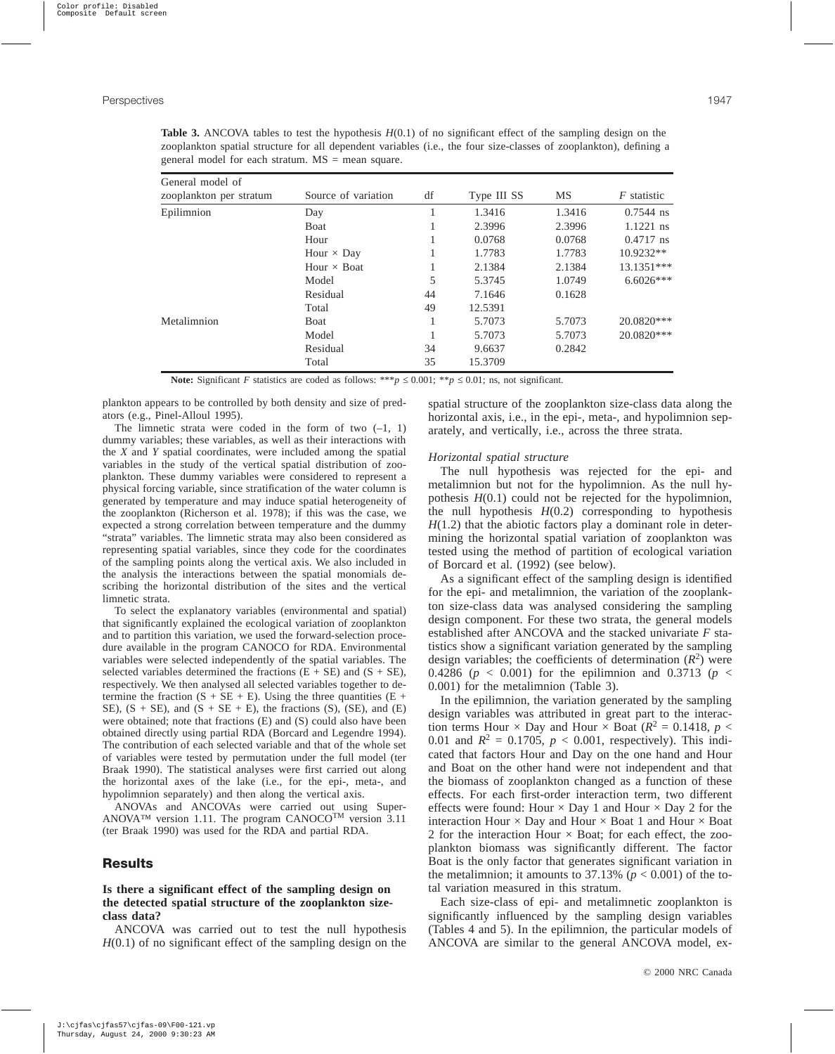**Table 3.** ANCOVA tables to test the hypothesis  $H(0.1)$  of no significant effect of the sampling design on the zooplankton spatial structure for all dependent variables (i.e., the four size-classes of zooplankton), defining a general model for each stratum.  $MS = mean$  square.

| General model of        |                     |    |             |        |                    |
|-------------------------|---------------------|----|-------------|--------|--------------------|
| zooplankton per stratum | Source of variation | df | Type III SS | MS     | <i>F</i> statistic |
| Epilimnion              | Day                 |    | 1.3416      | 1.3416 | $0.7544$ ns        |
|                         | Boat                |    | 2.3996      | 2.3996 | $1.1221$ ns        |
|                         | Hour                |    | 0.0768      | 0.0768 | $0.4717$ ns        |
|                         | Hour $\times$ Day   |    | 1.7783      | 1.7783 | $10.9232**$        |
|                         | Hour $\times$ Boat  |    | 2.1384      | 2.1384 | $13.1351***$       |
|                         | Model               | 5  | 5.3745      | 1.0749 | $6.6026***$        |
|                         | Residual            | 44 | 7.1646      | 0.1628 |                    |
|                         | Total               | 49 | 12.5391     |        |                    |
| Metalimnion             | <b>Boat</b>         |    | 5.7073      | 5.7073 | 20.0820***         |
|                         | Model               |    | 5.7073      | 5.7073 | $20.0820***$       |
|                         | Residual            | 34 | 9.6637      | 0.2842 |                    |
|                         | Total               | 35 | 15.3709     |        |                    |

**Note:** Significant *F* statistics are coded as follows: \*\*\**p*  $\leq$  0.001; \*\**p*  $\leq$  0.01; ns, not significant.

plankton appears to be controlled by both density and size of predators (e.g., Pinel-Alloul 1995).

The limnetic strata were coded in the form of two  $(-1, 1)$ dummy variables; these variables, as well as their interactions with the *X* and *Y* spatial coordinates, were included among the spatial variables in the study of the vertical spatial distribution of zooplankton. These dummy variables were considered to represent a physical forcing variable, since stratification of the water column is generated by temperature and may induce spatial heterogeneity of the zooplankton (Richerson et al. 1978); if this was the case, we expected a strong correlation between temperature and the dummy "strata" variables. The limnetic strata may also been considered as representing spatial variables, since they code for the coordinates of the sampling points along the vertical axis. We also included in the analysis the interactions between the spatial monomials describing the horizontal distribution of the sites and the vertical limnetic strata.

To select the explanatory variables (environmental and spatial) that significantly explained the ecological variation of zooplankton and to partition this variation, we used the forward-selection procedure available in the program CANOCO for RDA. Environmental variables were selected independently of the spatial variables. The selected variables determined the fractions  $(E + SE)$  and  $(S + SE)$ , respectively. We then analysed all selected variables together to determine the fraction  $(S + SE + E)$ . Using the three quantities  $(E + E)$ SE),  $(S + SE)$ , and  $(S + SE + E)$ , the fractions  $(S)$ ,  $(SE)$ , and  $(E)$ were obtained; note that fractions (E) and (S) could also have been obtained directly using partial RDA (Borcard and Legendre 1994). The contribution of each selected variable and that of the whole set of variables were tested by permutation under the full model (ter Braak 1990). The statistical analyses were first carried out along the horizontal axes of the lake (i.e., for the epi-, meta-, and hypolimnion separately) and then along the vertical axis.

ANOVAs and ANCOVAs were carried out using Super-ANOVA™ version 1.11. The program CANOCO<sup>TM</sup> version 3.11 (ter Braak 1990) was used for the RDA and partial RDA.

## **Results**

## **Is there a significant effect of the sampling design on the detected spatial structure of the zooplankton sizeclass data?**

ANCOVA was carried out to test the null hypothesis *H*(0.1) of no significant effect of the sampling design on the spatial structure of the zooplankton size-class data along the horizontal axis, i.e., in the epi-, meta-, and hypolimnion separately, and vertically, i.e., across the three strata.

## *Horizontal spatial structure*

The null hypothesis was rejected for the epi- and metalimnion but not for the hypolimnion. As the null hypothesis *H*(0.1) could not be rejected for the hypolimnion, the null hypothesis  $H(0.2)$  corresponding to hypothesis  $H(1.2)$  that the abiotic factors play a dominant role in determining the horizontal spatial variation of zooplankton was tested using the method of partition of ecological variation of Borcard et al. (1992) (see below).

As a significant effect of the sampling design is identified for the epi- and metalimnion, the variation of the zooplankton size-class data was analysed considering the sampling design component. For these two strata, the general models established after ANCOVA and the stacked univariate *F* statistics show a significant variation generated by the sampling design variables; the coefficients of determination  $(R^2)$  were 0.4286 ( $p < 0.001$ ) for the epilimnion and 0.3713 ( $p <$ 0.001) for the metalimnion (Table 3).

In the epilimnion, the variation generated by the sampling design variables was attributed in great part to the interaction terms Hour  $\times$  Day and Hour  $\times$  Boat ( $R^2 = 0.1418$ ,  $p <$ 0.01 and  $R^2 = 0.1705$ ,  $p < 0.001$ , respectively). This indicated that factors Hour and Day on the one hand and Hour and Boat on the other hand were not independent and that the biomass of zooplankton changed as a function of these effects. For each first-order interaction term, two different effects were found: Hour  $\times$  Day 1 and Hour  $\times$  Day 2 for the interaction Hour  $\times$  Day and Hour  $\times$  Boat 1 and Hour  $\times$  Boat 2 for the interaction Hour  $\times$  Boat; for each effect, the zooplankton biomass was significantly different. The factor Boat is the only factor that generates significant variation in the metalimnion; it amounts to 37.13% ( $p < 0.001$ ) of the total variation measured in this stratum.

Each size-class of epi- and metalimnetic zooplankton is significantly influenced by the sampling design variables (Tables 4 and 5). In the epilimnion, the particular models of ANCOVA are similar to the general ANCOVA model, ex-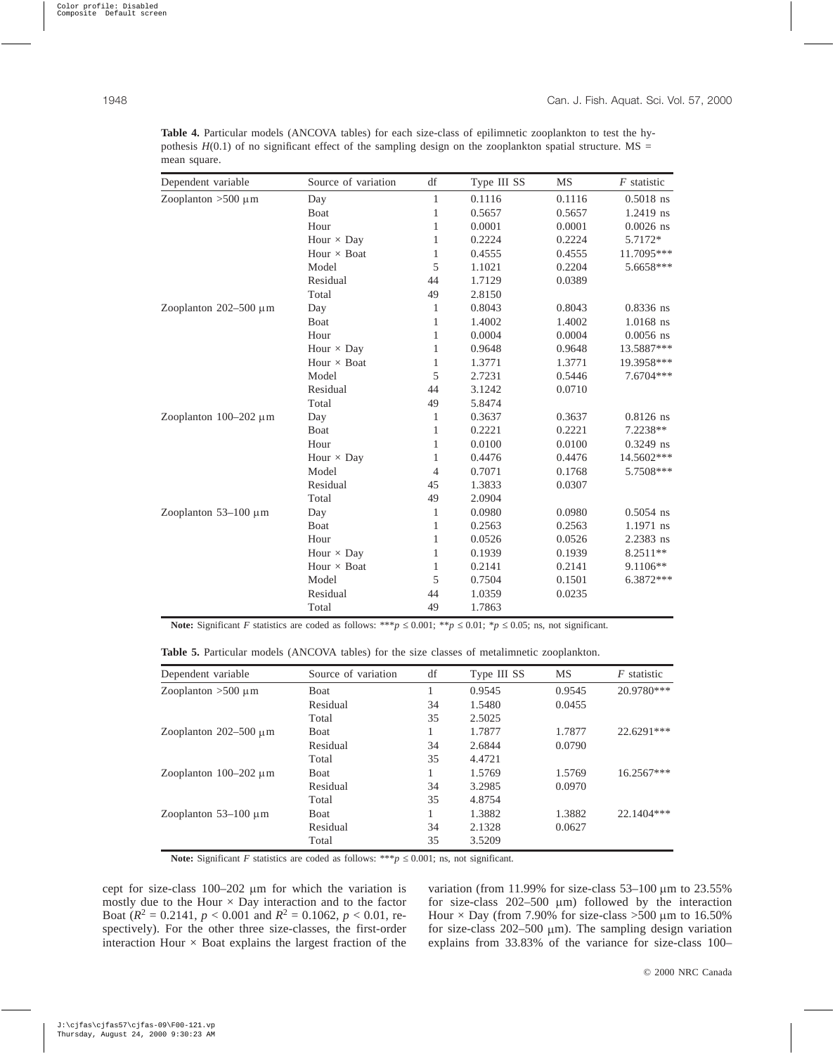| Dependent variable         | Source of variation | df             | Type III SS | <b>MS</b> | $F$ statistic |
|----------------------------|---------------------|----------------|-------------|-----------|---------------|
| Zooplanton $>500 \mu m$    | Day                 | 1              | 0.1116      | 0.1116    | $0.5018$ ns   |
|                            | Boat                | 1              | 0.5657      | 0.5657    | 1.2419 ns     |
|                            | Hour                | 1              | 0.0001      | 0.0001    | $0.0026$ ns   |
|                            | Hour $\times$ Day   | 1              | 0.2224      | 0.2224    | 5.7172*       |
|                            | Hour $\times$ Boat  | $\mathbf{1}$   | 0.4555      | 0.4555    | 11.7095***    |
|                            | Model               | 5              | 1.1021      | 0.2204    | 5.6658***     |
|                            | Residual            | 44             | 1.7129      | 0.0389    |               |
|                            | Total               | 49             | 2.8150      |           |               |
| Zooplanton $202-500 \mu m$ | Day                 | 1              | 0.8043      | 0.8043    | 0.8336 ns     |
|                            | Boat                | 1              | 1.4002      | 1.4002    | 1.0168 ns     |
|                            | Hour                | 1              | 0.0004      | 0.0004    | $0.0056$ ns   |
|                            | Hour $\times$ Day   | 1              | 0.9648      | 0.9648    | 13.5887***    |
|                            | Hour $\times$ Boat  | 1              | 1.3771      | 1.3771    | 19.3958***    |
|                            | Model               | 5              | 2.7231      | 0.5446    | 7.6704 ***    |
|                            | Residual            | 44             | 3.1242      | 0.0710    |               |
|                            | Total               | 49             | 5.8474      |           |               |
| Zooplanton $100-202 \mu m$ | Day                 | 1              | 0.3637      | 0.3637    | $0.8126$ ns   |
|                            | Boat                | $\mathbf{1}$   | 0.2221      | 0.2221    | 7.2238**      |
|                            | Hour                | 1              | 0.0100      | 0.0100    | $0.3249$ ns   |
|                            | Hour $\times$ Day   | $\mathbf{1}$   | 0.4476      | 0.4476    | 14.5602***    |
|                            | Model               | $\overline{4}$ | 0.7071      | 0.1768    | 5.7508***     |
|                            | Residual            | 45             | 1.3833      | 0.0307    |               |
|                            | Total               | 49             | 2.0904      |           |               |
| Zooplanton $53-100 \mu m$  | Day                 | 1              | 0.0980      | 0.0980    | $0.5054$ ns   |
|                            | <b>B</b> oat        | 1              | 0.2563      | 0.2563    | 1.1971 ns     |
|                            | Hour                | $\mathbf{1}$   | 0.0526      | 0.0526    | 2.2383 ns     |
|                            | Hour $\times$ Day   | 1              | 0.1939      | 0.1939    | 8.2511**      |
|                            | Hour $\times$ Boat  | 1              | 0.2141      | 0.2141    | $9.1106**$    |
|                            | Model               | 5              | 0.7504      | 0.1501    | $6.3872***$   |
|                            | Residual            | 44             | 1.0359      | 0.0235    |               |
|                            | Total               | 49             | 1.7863      |           |               |

**Table 4.** Particular models (ANCOVA tables) for each size-class of epilimnetic zooplankton to test the hypothesis  $H(0.1)$  of no significant effect of the sampling design on the zooplankton spatial structure. MS = mean square.

**Note:** Significant *F* statistics are coded as follows: \*\*\**p*  $\leq$  0.001; \**p*  $\leq$  0.01; \**p*  $\leq$  0.05; ns, not significant.

|  |  |  |  |  |  |  |  |  |  | <b>Table 5.</b> Particular models (ANCOVA tables) for the size classes of metalimnetic zooplankton. |  |
|--|--|--|--|--|--|--|--|--|--|-----------------------------------------------------------------------------------------------------|--|
|--|--|--|--|--|--|--|--|--|--|-----------------------------------------------------------------------------------------------------|--|

| Dependent variable         | Source of variation | df | Type III SS | <b>MS</b> | $F$ statistic |
|----------------------------|---------------------|----|-------------|-----------|---------------|
| Zooplanton $>500 \mu m$    | <b>Boat</b>         |    | 0.9545      | 0.9545    | 20.9780***    |
|                            | Residual            | 34 | 1.5480      | 0.0455    |               |
|                            | Total               | 35 | 2.5025      |           |               |
| Zooplanton $202-500 \mu m$ | Boat                |    | 1.7877      | 1.7877    | $22.6291***$  |
|                            | Residual            | 34 | 2.6844      | 0.0790    |               |
|                            | Total               | 35 | 4.4721      |           |               |
| Zooplanton $100-202 \mu m$ | <b>Boat</b>         |    | 1.5769      | 1.5769    | $16.2567***$  |
|                            | Residual            | 34 | 3.2985      | 0.0970    |               |
|                            | Total               | 35 | 4.8754      |           |               |
| Zooplanton $53-100 \mu m$  | <b>Boat</b>         |    | 1.3882      | 1.3882    | 22.1404***    |
|                            | Residual            | 34 | 2.1328      | 0.0627    |               |
|                            | Total               | 35 | 3.5209      |           |               |

**Note:** Significant *F* statistics are coded as follows: \*\*\**p*  $\leq$  0.001; ns, not significant.

cept for size-class  $100-202 \mu m$  for which the variation is mostly due to the Hour  $\times$  Day interaction and to the factor Boat ( $R^2 = 0.2141$ ,  $p < 0.001$  and  $R^2 = 0.1062$ ,  $p < 0.01$ , respectively). For the other three size-classes, the first-order interaction Hour  $\times$  Boat explains the largest fraction of the variation (from 11.99% for size-class 53-100  $\mu$ m to 23.55% for size-class  $202-500 \mu m$ ) followed by the interaction Hour  $\times$  Day (from 7.90% for size-class >500 µm to 16.50% for size-class  $202-500 \mu m$ ). The sampling design variation explains from 33.83% of the variance for size-class 100–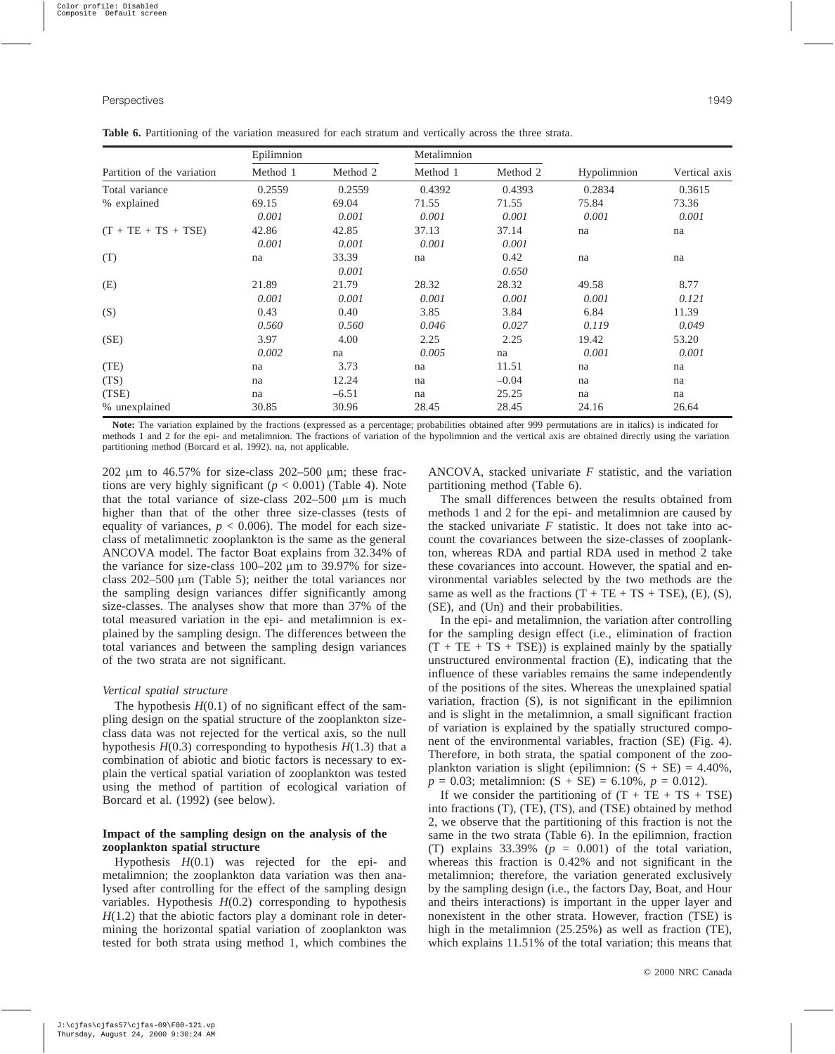|                            | Epilimnion | Metalimnion |          |          |             |               |
|----------------------------|------------|-------------|----------|----------|-------------|---------------|
| Partition of the variation | Method 1   | Method 2    | Method 1 | Method 2 | Hypolimnion | Vertical axis |
| Total variance             | 0.2559     | 0.2559      | 0.4392   | 0.4393   | 0.2834      | 0.3615        |
| % explained                | 69.15      | 69.04       | 71.55    | 71.55    | 75.84       | 73.36         |
|                            | 0.001      | 0.001       | 0.001    | 0.001    | 0.001       | 0.001         |
| $(T + TE + TS + TSE)$      | 42.86      | 42.85       | 37.13    | 37.14    | na          | na            |
|                            | 0.001      | 0.001       | 0.001    | 0.001    |             |               |
| (T)                        | na         | 33.39       | na       | 0.42     | na          | na            |
|                            |            | 0.001       |          | 0.650    |             |               |
| (E)                        | 21.89      | 21.79       | 28.32    | 28.32    | 49.58       | 8.77          |
|                            | 0.001      | 0.001       | 0.001    | 0.001    | 0.001       | 0.121         |
| (S)                        | 0.43       | 0.40        | 3.85     | 3.84     | 6.84        | 11.39         |
|                            | 0.560      | 0.560       | 0.046    | 0.027    | 0.119       | 0.049         |
| (SE)                       | 3.97       | 4.00        | 2.25     | 2.25     | 19.42       | 53.20         |
|                            | 0.002      | na          | 0.005    | na       | 0.001       | 0.001         |
| (TE)                       | na         | 3.73        | na       | 11.51    | na          | na            |
| (TS)                       | na         | 12.24       | na       | $-0.04$  | na          | na            |
| (TSE)                      | na         | $-6.51$     | na       | 25.25    | na          | na            |

**Table 6.** Partitioning of the variation measured for each stratum and vertically across the three strata.

Note: The variation explained by the fractions (expressed as a percentage; probabilities obtained after 999 permutations are in italics) is indicated for methods 1 and 2 for the epi- and metalimnion. The fractions of variation of the hypolimnion and the vertical axis are obtained directly using the variation partitioning method (Borcard et al. 1992). na, not applicable.

% unexplained 30.85 30.96 28.45 28.45 24.16 26.64

202  $\mu$ m to 46.57% for size-class 202–500  $\mu$ m; these fractions are very highly significant  $(p < 0.001)$  (Table 4). Note that the total variance of size-class  $202-500 \mu m$  is much higher than that of the other three size-classes (tests of equality of variances,  $p < 0.006$ ). The model for each sizeclass of metalimnetic zooplankton is the same as the general ANCOVA model. The factor Boat explains from 32.34% of the variance for size-class  $100-202 \mu m$  to 39.97% for sizeclass  $202-500 \mu m$  (Table 5); neither the total variances nor the sampling design variances differ significantly among size-classes. The analyses show that more than 37% of the total measured variation in the epi- and metalimnion is explained by the sampling design. The differences between the total variances and between the sampling design variances of the two strata are not significant.

#### *Vertical spatial structure*

The hypothesis  $H(0.1)$  of no significant effect of the sampling design on the spatial structure of the zooplankton sizeclass data was not rejected for the vertical axis, so the null hypothesis  $H(0.3)$  corresponding to hypothesis  $H(1.3)$  that a combination of abiotic and biotic factors is necessary to explain the vertical spatial variation of zooplankton was tested using the method of partition of ecological variation of Borcard et al. (1992) (see below).

## **Impact of the sampling design on the analysis of the zooplankton spatial structure**

Hypothesis *H*(0.1) was rejected for the epi- and metalimnion; the zooplankton data variation was then analysed after controlling for the effect of the sampling design variables. Hypothesis  $H(0.2)$  corresponding to hypothesis  $H(1.2)$  that the abiotic factors play a dominant role in determining the horizontal spatial variation of zooplankton was tested for both strata using method 1, which combines the ANCOVA, stacked univariate *F* statistic, and the variation partitioning method (Table 6).

The small differences between the results obtained from methods 1 and 2 for the epi- and metalimnion are caused by the stacked univariate  $F$  statistic. It does not take into account the covariances between the size-classes of zooplankton, whereas RDA and partial RDA used in method 2 take these covariances into account. However, the spatial and environmental variables selected by the two methods are the same as well as the fractions  $(T + TE + TS + TSE)$ ,  $(E)$ ,  $(S)$ , (SE), and (Un) and their probabilities.

In the epi- and metalimnion, the variation after controlling for the sampling design effect (i.e., elimination of fraction  $(T + TE + TS + TSE)$ ) is explained mainly by the spatially unstructured environmental fraction (E), indicating that the influence of these variables remains the same independently of the positions of the sites. Whereas the unexplained spatial variation, fraction (S), is not significant in the epilimnion and is slight in the metalimnion, a small significant fraction of variation is explained by the spatially structured component of the environmental variables, fraction (SE) (Fig. 4). Therefore, in both strata, the spatial component of the zooplankton variation is slight (epilimnion:  $(S + SE) = 4.40\%$ ,  $p = 0.03$ ; metalimnion:  $(S + SE) = 6.10\%$ ,  $p = 0.012$ ).

If we consider the partitioning of  $(T + TE + TS + TSE)$ into fractions (T), (TE), (TS), and (TSE) obtained by method 2, we observe that the partitioning of this fraction is not the same in the two strata (Table 6). In the epilimnion, fraction (T) explains  $33.39\%$  ( $p = 0.001$ ) of the total variation, whereas this fraction is 0.42% and not significant in the metalimnion; therefore, the variation generated exclusively by the sampling design (i.e., the factors Day, Boat, and Hour and theirs interactions) is important in the upper layer and nonexistent in the other strata. However, fraction (TSE) is high in the metalimnion (25.25%) as well as fraction (TE), which explains 11.51% of the total variation; this means that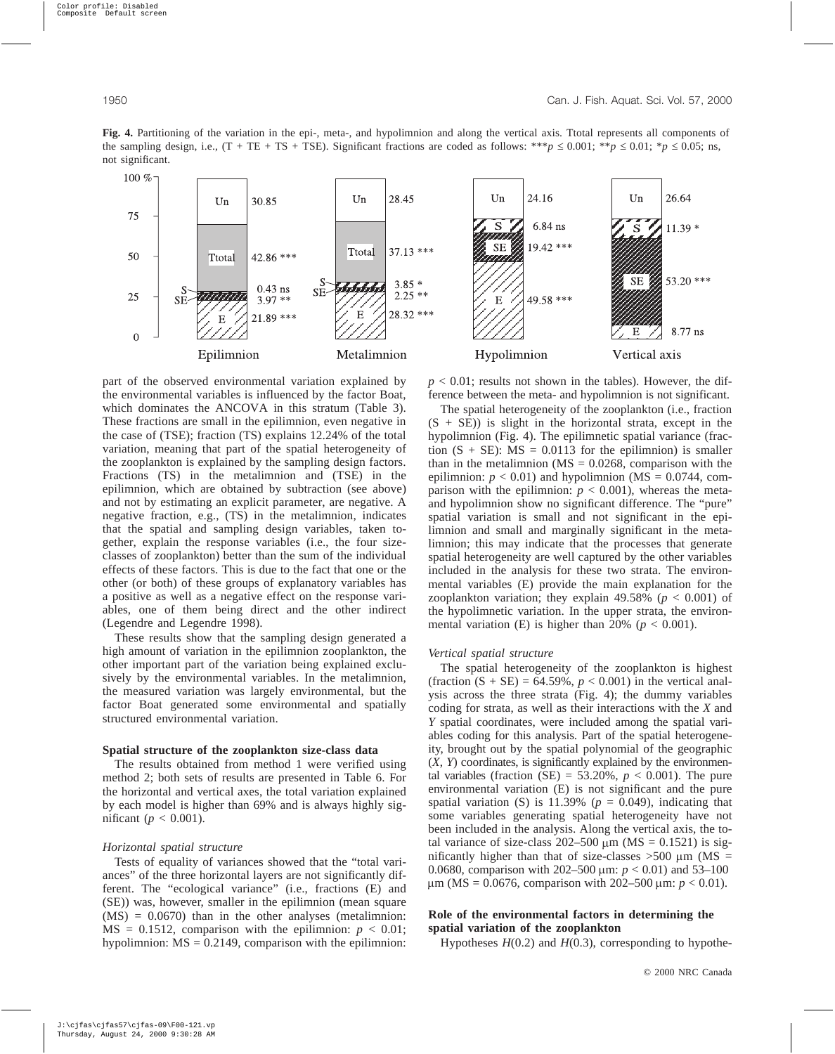part of the observed environmental variation explained by the environmental variables is influenced by the factor Boat, which dominates the ANCOVA in this stratum (Table 3). These fractions are small in the epilimnion, even negative in the case of (TSE); fraction (TS) explains 12.24% of the total variation, meaning that part of the spatial heterogeneity of the zooplankton is explained by the sampling design factors. Fractions (TS) in the metalimnion and (TSE) in the epilimnion, which are obtained by subtraction (see above) and not by estimating an explicit parameter, are negative. A negative fraction, e.g., (TS) in the metalimnion, indicates that the spatial and sampling design variables, taken together, explain the response variables (i.e., the four sizeclasses of zooplankton) better than the sum of the individual effects of these factors. This is due to the fact that one or the other (or both) of these groups of explanatory variables has a positive as well as a negative effect on the response variables, one of them being direct and the other indirect (Legendre and Legendre 1998).

These results show that the sampling design generated a high amount of variation in the epilimnion zooplankton, the other important part of the variation being explained exclusively by the environmental variables. In the metalimnion, the measured variation was largely environmental, but the factor Boat generated some environmental and spatially structured environmental variation.

#### **Spatial structure of the zooplankton size-class data**

The results obtained from method 1 were verified using method 2; both sets of results are presented in Table 6. For the horizontal and vertical axes, the total variation explained by each model is higher than 69% and is always highly significant ( $p < 0.001$ ).

#### *Horizontal spatial structure*

Tests of equality of variances showed that the "total variances" of the three horizontal layers are not significantly different. The "ecological variance" (i.e., fractions (E) and (SE)) was, however, smaller in the epilimnion (mean square  $(MS) = 0.0670$ ) than in the other analyses (metalimnion:  $MS = 0.1512$ , comparison with the epilimnion:  $p < 0.01$ ; hypolimnion:  $MS = 0.2149$ , comparison with the epilimnion:  $p < 0.01$ ; results not shown in the tables). However, the difference between the meta- and hypolimnion is not significant.

The spatial heterogeneity of the zooplankton (i.e., fraction  $(S + SE)$ ) is slight in the horizontal strata, except in the hypolimnion (Fig. 4). The epilimnetic spatial variance (fraction  $(S + SE)$ : MS = 0.0113 for the epilimnion) is smaller than in the metalimnion ( $\text{MS} = 0.0268$ , comparison with the epilimnion:  $p < 0.01$ ) and hypolimnion (MS = 0.0744, comparison with the epilimnion:  $p < 0.001$ ), whereas the metaand hypolimnion show no significant difference. The "pure" spatial variation is small and not significant in the epilimnion and small and marginally significant in the metalimnion; this may indicate that the processes that generate spatial heterogeneity are well captured by the other variables included in the analysis for these two strata. The environmental variables (E) provide the main explanation for the zooplankton variation; they explain  $49.58\%$  ( $p < 0.001$ ) of the hypolimnetic variation. In the upper strata, the environmental variation (E) is higher than 20% ( $p < 0.001$ ).

#### *Vertical spatial structure*

The spatial heterogeneity of the zooplankton is highest (fraction  $(S + SE) = 64.59\%$ ,  $p < 0.001$ ) in the vertical analysis across the three strata (Fig. 4); the dummy variables coding for strata, as well as their interactions with the *X* and *Y* spatial coordinates, were included among the spatial variables coding for this analysis. Part of the spatial heterogeneity, brought out by the spatial polynomial of the geographic (*X*, *Y*) coordinates, is significantly explained by the environmental variables (fraction (SE) = 53.20%,  $p < 0.001$ ). The pure environmental variation (E) is not significant and the pure spatial variation (S) is 11.39% ( $p = 0.049$ ), indicating that some variables generating spatial heterogeneity have not been included in the analysis. Along the vertical axis, the total variance of size-class  $202-500 \mu m$  (MS = 0.1521) is significantly higher than that of size-classes  $>500 \mu m$  (MS = 0.0680, comparison with 202–500  $\mu$ m:  $p < 0.01$ ) and 53–100  $\mu$ m (MS = 0.0676, comparison with 202–500  $\mu$ m: *p* < 0.01).

## **Role of the environmental factors in determining the spatial variation of the zooplankton**

Hypotheses *H*(0.2) and *H*(0.3), corresponding to hypothe-



**Fig. 4.** Partitioning of the variation in the epi-, meta-, and hypolimnion and along the vertical axis. Ttotal represents all components of the sampling design, i.e.,  $(T + TE + TS + TSE)$ . Significant fractions are coded as follows: \*\**p*  $\leq 0.001$ ; \**p*  $\leq 0.01$ ; \**p*  $\leq 0.05$ ; ns,

not significant.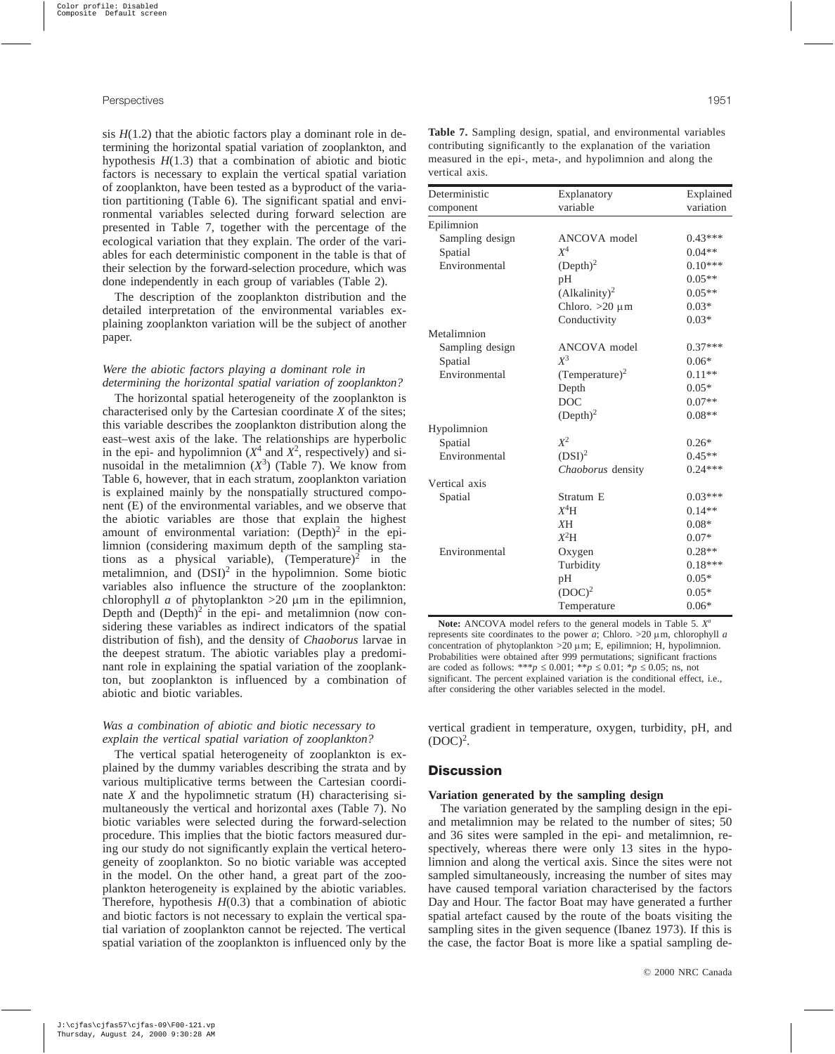sis  $H(1.2)$  that the abiotic factors play a dominant role in determining the horizontal spatial variation of zooplankton, and hypothesis  $H(1.3)$  that a combination of abiotic and biotic factors is necessary to explain the vertical spatial variation of zooplankton, have been tested as a byproduct of the variation partitioning (Table 6). The significant spatial and environmental variables selected during forward selection are presented in Table 7, together with the percentage of the ecological variation that they explain. The order of the variables for each deterministic component in the table is that of their selection by the forward-selection procedure, which was done independently in each group of variables (Table 2).

The description of the zooplankton distribution and the detailed interpretation of the environmental variables explaining zooplankton variation will be the subject of another paper.

## *Were the abiotic factors playing a dominant role in determining the horizontal spatial variation of zooplankton?*

The horizontal spatial heterogeneity of the zooplankton is characterised only by the Cartesian coordinate *X* of the sites; this variable describes the zooplankton distribution along the east–west axis of the lake. The relationships are hyperbolic in the epi- and hypolimnion  $(X^4$  and  $X^2$ , respectively) and sinusoidal in the metalimnion  $(X^3)$  (Table 7). We know from Table 6, however, that in each stratum, zooplankton variation is explained mainly by the nonspatially structured component (E) of the environmental variables, and we observe that the abiotic variables are those that explain the highest amount of environmental variation:  $(Depth)^2$  in the epilimnion (considering maximum depth of the sampling stations as a physical variable),  $(Temperature)^2$  in the metalimnion, and  $(DSI)^2$  in the hypolimnion. Some biotic variables also influence the structure of the zooplankton: chlorophyll *a* of phytoplankton  $>20 \mu m$  in the epilimnion, Depth and  $(Depth)^2$  in the epi- and metalimnion (now considering these variables as indirect indicators of the spatial distribution of fish), and the density of *Chaoborus* larvae in the deepest stratum. The abiotic variables play a predominant role in explaining the spatial variation of the zooplankton, but zooplankton is influenced by a combination of abiotic and biotic variables.

## *Was a combination of abiotic and biotic necessary to explain the vertical spatial variation of zooplankton?*

The vertical spatial heterogeneity of zooplankton is explained by the dummy variables describing the strata and by various multiplicative terms between the Cartesian coordinate *X* and the hypolimnetic stratum (H) characterising simultaneously the vertical and horizontal axes (Table 7). No biotic variables were selected during the forward-selection procedure. This implies that the biotic factors measured during our study do not significantly explain the vertical heterogeneity of zooplankton. So no biotic variable was accepted in the model. On the other hand, a great part of the zooplankton heterogeneity is explained by the abiotic variables. Therefore, hypothesis  $H(0.3)$  that a combination of abiotic and biotic factors is not necessary to explain the vertical spatial variation of zooplankton cannot be rejected. The vertical spatial variation of the zooplankton is influenced only by the

**Table 7.** Sampling design, spatial, and environmental variables contributing significantly to the explanation of the variation measured in the epi-, meta-, and hypolimnion and along the vertical axis.

| Deterministic   | Explanatory                | Explained |
|-----------------|----------------------------|-----------|
| component       | variable                   | variation |
| Epilimnion      |                            |           |
| Sampling design | ANCOVA model               | $0.43***$ |
| Spatial         | $X^4$                      | $0.04**$  |
| Environmental   | $(Depth)^2$                | $0.10***$ |
|                 | pH                         | $0.05**$  |
|                 | (Alkality) <sup>2</sup>    | $0.05**$  |
|                 | Chloro. $>20 \mu m$        | $0.03*$   |
|                 | Conductivity               | $0.03*$   |
| Metalimnion     |                            |           |
| Sampling design | ANCOVA model               | $0.37***$ |
| Spatial         | $X^3$                      | $0.06*$   |
| Environmental   | (Temperature) <sup>2</sup> | $0.11**$  |
|                 | Depth                      | $0.05*$   |
|                 | <b>DOC</b>                 | $0.07**$  |
|                 | $(Depth)^2$                | $0.08**$  |
| Hypolimnion     |                            |           |
| Spatial         | $X^2$                      | $0.26*$   |
| Environmental   | (DSI) <sup>2</sup>         | $0.45**$  |
|                 | Chaoborus density          | $0.24***$ |
| Vertical axis   |                            |           |
| Spatial         | Stratum E                  | $0.03***$ |
|                 | $X^4H$                     | $0.14**$  |
|                 | XH                         | $0.08*$   |
|                 | $X^2H$                     | $0.07*$   |
| Environmental   | Oxygen                     | $0.28**$  |
|                 | Turbidity                  | $0.18***$ |
|                 | pН                         | $0.05*$   |
|                 | $(DOC)^2$                  | $0.05*$   |
|                 | Temperature                | $0.06*$   |

**Note:** ANCOVA model refers to the general models in Table 5. *Xa* represents site coordinates to the power  $a$ ; Chloro. >20  $\mu$ m, chlorophyll  $a$ concentration of phytoplankton  $>20 \mu$ m; E, epilimnion; H, hypolimnion. Probabilities were obtained after 999 permutations; significant fractions are coded as follows: \*\*\**p*  $\leq$  0.001; \**\*p*  $\leq$  0.01; \**p*  $\leq$  0.05; ns, not significant. The percent explained variation is the conditional effect, i.e., after considering the other variables selected in the model.

vertical gradient in temperature, oxygen, turbidity, pH, and  $(DOC)^2$ .

## **Discussion**

## **Variation generated by the sampling design**

The variation generated by the sampling design in the epiand metalimnion may be related to the number of sites; 50 and 36 sites were sampled in the epi- and metalimnion, respectively, whereas there were only 13 sites in the hypolimnion and along the vertical axis. Since the sites were not sampled simultaneously, increasing the number of sites may have caused temporal variation characterised by the factors Day and Hour. The factor Boat may have generated a further spatial artefact caused by the route of the boats visiting the sampling sites in the given sequence (Ibanez 1973). If this is the case, the factor Boat is more like a spatial sampling de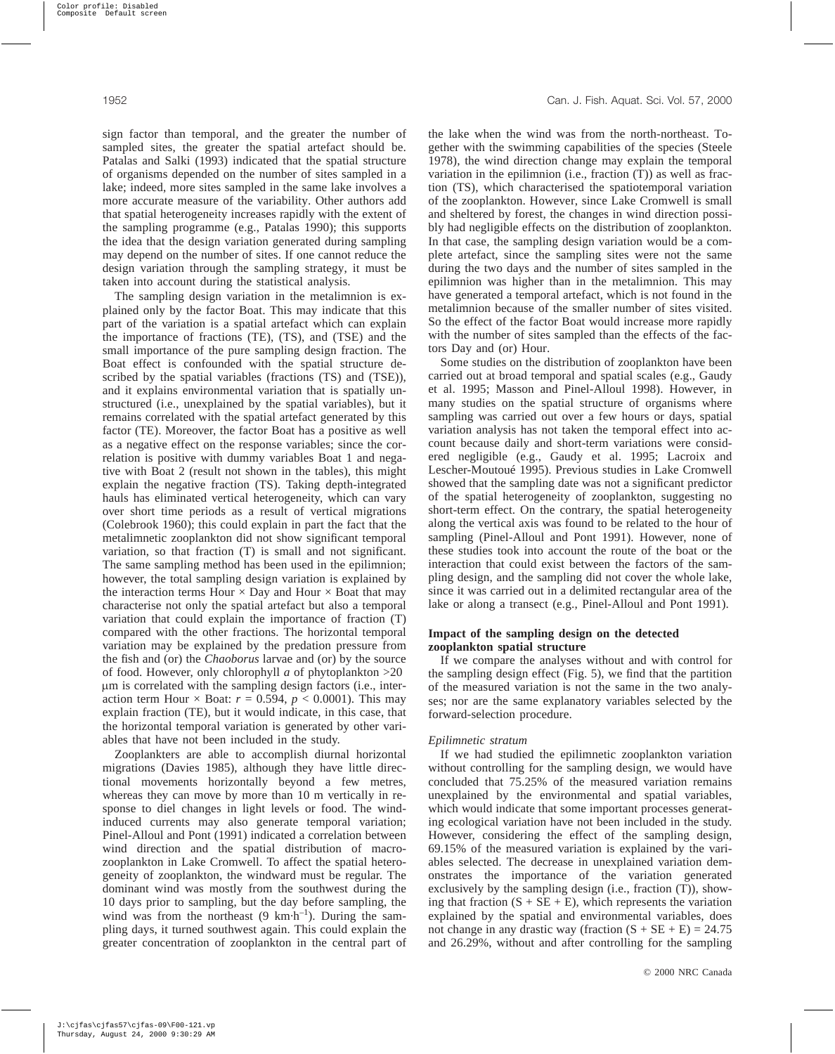sign factor than temporal, and the greater the number of sampled sites, the greater the spatial artefact should be. Patalas and Salki (1993) indicated that the spatial structure of organisms depended on the number of sites sampled in a lake; indeed, more sites sampled in the same lake involves a more accurate measure of the variability. Other authors add that spatial heterogeneity increases rapidly with the extent of the sampling programme (e.g., Patalas 1990); this supports the idea that the design variation generated during sampling may depend on the number of sites. If one cannot reduce the design variation through the sampling strategy, it must be taken into account during the statistical analysis.

The sampling design variation in the metalimnion is explained only by the factor Boat. This may indicate that this part of the variation is a spatial artefact which can explain the importance of fractions (TE), (TS), and (TSE) and the small importance of the pure sampling design fraction. The Boat effect is confounded with the spatial structure described by the spatial variables (fractions (TS) and (TSE)), and it explains environmental variation that is spatially unstructured (i.e., unexplained by the spatial variables), but it remains correlated with the spatial artefact generated by this factor (TE). Moreover, the factor Boat has a positive as well as a negative effect on the response variables; since the correlation is positive with dummy variables Boat 1 and negative with Boat 2 (result not shown in the tables), this might explain the negative fraction (TS). Taking depth-integrated hauls has eliminated vertical heterogeneity, which can vary over short time periods as a result of vertical migrations (Colebrook 1960); this could explain in part the fact that the metalimnetic zooplankton did not show significant temporal variation, so that fraction (T) is small and not significant. The same sampling method has been used in the epilimnion; however, the total sampling design variation is explained by the interaction terms Hour  $\times$  Day and Hour  $\times$  Boat that may characterise not only the spatial artefact but also a temporal variation that could explain the importance of fraction (T) compared with the other fractions. The horizontal temporal variation may be explained by the predation pressure from the fish and (or) the *Chaoborus* larvae and (or) by the source of food. However, only chlorophyll *a* of phytoplankton >20 mm is correlated with the sampling design factors (i.e., interaction term Hour  $\times$  Boat:  $r = 0.594$ ,  $p < 0.0001$ ). This may explain fraction (TE), but it would indicate, in this case, that the horizontal temporal variation is generated by other variables that have not been included in the study.

Zooplankters are able to accomplish diurnal horizontal migrations (Davies 1985), although they have little directional movements horizontally beyond a few metres, whereas they can move by more than 10 m vertically in response to diel changes in light levels or food. The windinduced currents may also generate temporal variation; Pinel-Alloul and Pont (1991) indicated a correlation between wind direction and the spatial distribution of macrozooplankton in Lake Cromwell. To affect the spatial heterogeneity of zooplankton, the windward must be regular. The dominant wind was mostly from the southwest during the 10 days prior to sampling, but the day before sampling, the wind was from the northeast  $(9 \text{ km} \cdot \text{h}^{-1})$ . During the sampling days, it turned southwest again. This could explain the greater concentration of zooplankton in the central part of the lake when the wind was from the north-northeast. Together with the swimming capabilities of the species (Steele 1978), the wind direction change may explain the temporal variation in the epilimnion (i.e., fraction (T)) as well as fraction (TS), which characterised the spatiotemporal variation of the zooplankton. However, since Lake Cromwell is small and sheltered by forest, the changes in wind direction possibly had negligible effects on the distribution of zooplankton. In that case, the sampling design variation would be a complete artefact, since the sampling sites were not the same during the two days and the number of sites sampled in the epilimnion was higher than in the metalimnion. This may have generated a temporal artefact, which is not found in the metalimnion because of the smaller number of sites visited. So the effect of the factor Boat would increase more rapidly with the number of sites sampled than the effects of the factors Day and (or) Hour.

Some studies on the distribution of zooplankton have been carried out at broad temporal and spatial scales (e.g., Gaudy et al. 1995; Masson and Pinel-Alloul 1998). However, in many studies on the spatial structure of organisms where sampling was carried out over a few hours or days, spatial variation analysis has not taken the temporal effect into account because daily and short-term variations were considered negligible (e.g., Gaudy et al. 1995; Lacroix and Lescher-Moutoué 1995). Previous studies in Lake Cromwell showed that the sampling date was not a significant predictor of the spatial heterogeneity of zooplankton, suggesting no short-term effect. On the contrary, the spatial heterogeneity along the vertical axis was found to be related to the hour of sampling (Pinel-Alloul and Pont 1991). However, none of these studies took into account the route of the boat or the interaction that could exist between the factors of the sampling design, and the sampling did not cover the whole lake, since it was carried out in a delimited rectangular area of the lake or along a transect (e.g., Pinel-Alloul and Pont 1991).

## **Impact of the sampling design on the detected zooplankton spatial structure**

If we compare the analyses without and with control for the sampling design effect (Fig. 5), we find that the partition of the measured variation is not the same in the two analyses; nor are the same explanatory variables selected by the forward-selection procedure.

#### *Epilimnetic stratum*

If we had studied the epilimnetic zooplankton variation without controlling for the sampling design, we would have concluded that 75.25% of the measured variation remains unexplained by the environmental and spatial variables, which would indicate that some important processes generating ecological variation have not been included in the study. However, considering the effect of the sampling design, 69.15% of the measured variation is explained by the variables selected. The decrease in unexplained variation demonstrates the importance of the variation generated exclusively by the sampling design (i.e., fraction (T)), showing that fraction  $(S + SE + E)$ , which represents the variation explained by the spatial and environmental variables, does not change in any drastic way (fraction  $(S + SE + E) = 24.75$ and 26.29%, without and after controlling for the sampling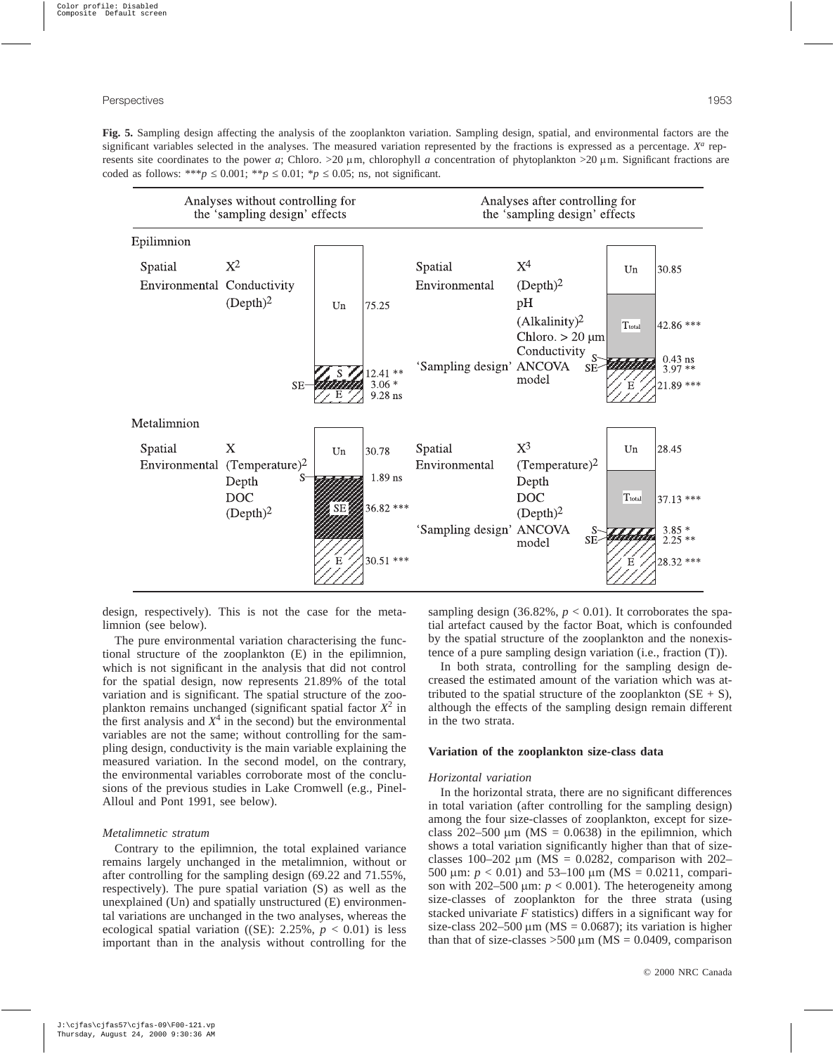**Fig. 5.** Sampling design affecting the analysis of the zooplankton variation. Sampling design, spatial, and environmental factors are the significant variables selected in the analyses. The measured variation represented by the fractions is expressed as a percentage. *X<sup>a</sup>* represents site coordinates to the power *a*; Chloro. >20  $\mu$ m, chlorophyll *a* concentration of phytoplankton >20  $\mu$ m. Significant fractions are coded as follows: \*\*\**p*  $\leq$  0.001; \**p*  $\leq$  0.01; \**p*  $\leq$  0.05; ns, not significant.



design, respectively). This is not the case for the metalimnion (see below).

The pure environmental variation characterising the functional structure of the zooplankton (E) in the epilimnion, which is not significant in the analysis that did not control for the spatial design, now represents 21.89% of the total variation and is significant. The spatial structure of the zooplankton remains unchanged (significant spatial factor *X*<sup>2</sup> in the first analysis and  $X<sup>4</sup>$  in the second) but the environmental variables are not the same; without controlling for the sampling design, conductivity is the main variable explaining the measured variation. In the second model, on the contrary, the environmental variables corroborate most of the conclusions of the previous studies in Lake Cromwell (e.g., Pinel-Alloul and Pont 1991, see below).

#### *Metalimnetic stratum*

Contrary to the epilimnion, the total explained variance remains largely unchanged in the metalimnion, without or after controlling for the sampling design (69.22 and 71.55%, respectively). The pure spatial variation (S) as well as the unexplained (Un) and spatially unstructured (E) environmental variations are unchanged in the two analyses, whereas the ecological spatial variation ((SE):  $2.25\%$ ,  $p < 0.01$ ) is less important than in the analysis without controlling for the sampling design  $(36.82\%, p < 0.01)$ . It corroborates the spatial artefact caused by the factor Boat, which is confounded by the spatial structure of the zooplankton and the nonexistence of a pure sampling design variation (i.e., fraction (T)).

In both strata, controlling for the sampling design decreased the estimated amount of the variation which was attributed to the spatial structure of the zooplankton  $(SE + S)$ , although the effects of the sampling design remain different in the two strata.

#### **Variation of the zooplankton size-class data**

#### *Horizontal variation*

In the horizontal strata, there are no significant differences in total variation (after controlling for the sampling design) among the four size-classes of zooplankton, except for sizeclass 202–500  $\mu$ m (MS = 0.0638) in the epilimnion, which shows a total variation significantly higher than that of sizeclasses 100–202  $\mu$ m (MS = 0.0282, comparison with 202– 500  $\mu$ m:  $p < 0.01$ ) and 53–100  $\mu$ m (MS = 0.0211, comparison with  $202-500 \mu m$ :  $p < 0.001$ ). The heterogeneity among size-classes of zooplankton for the three strata (using stacked univariate *F* statistics) differs in a significant way for size-class  $202-500 \mu m$  (MS = 0.0687); its variation is higher than that of size-classes  $>500 \mu m$  (MS = 0.0409, comparison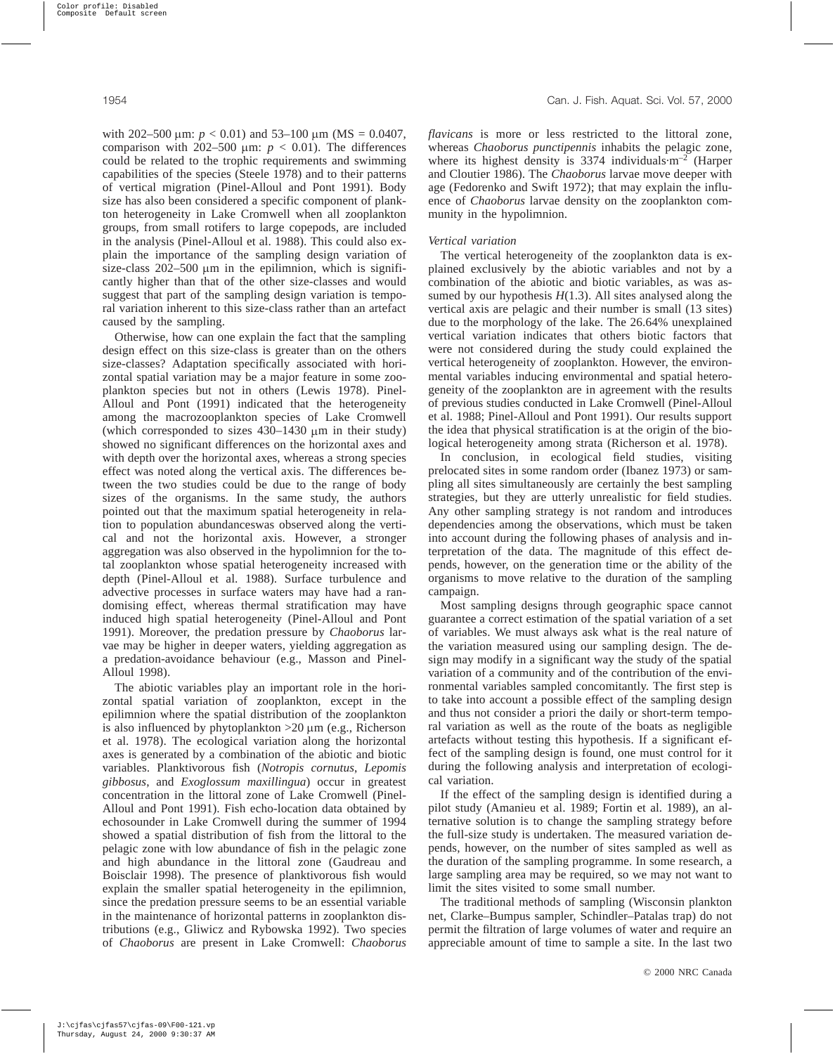with 202–500  $\mu$ m: *p* < 0.01) and 53–100  $\mu$ m (MS = 0.0407, comparison with 202–500  $\mu$ m:  $p < 0.01$ ). The differences could be related to the trophic requirements and swimming capabilities of the species (Steele 1978) and to their patterns of vertical migration (Pinel-Alloul and Pont 1991). Body size has also been considered a specific component of plankton heterogeneity in Lake Cromwell when all zooplankton groups, from small rotifers to large copepods, are included in the analysis (Pinel-Alloul et al. 1988). This could also explain the importance of the sampling design variation of size-class  $202-500 \mu m$  in the epilimnion, which is significantly higher than that of the other size-classes and would suggest that part of the sampling design variation is temporal variation inherent to this size-class rather than an artefact caused by the sampling.

Otherwise, how can one explain the fact that the sampling design effect on this size-class is greater than on the others size-classes? Adaptation specifically associated with horizontal spatial variation may be a major feature in some zooplankton species but not in others (Lewis 1978). Pinel-Alloul and Pont (1991) indicated that the heterogeneity among the macrozooplankton species of Lake Cromwell (which corresponded to sizes  $430-1430 \mu m$  in their study) showed no significant differences on the horizontal axes and with depth over the horizontal axes, whereas a strong species effect was noted along the vertical axis. The differences between the two studies could be due to the range of body sizes of the organisms. In the same study, the authors pointed out that the maximum spatial heterogeneity in relation to population abundanceswas observed along the vertical and not the horizontal axis. However, a stronger aggregation was also observed in the hypolimnion for the total zooplankton whose spatial heterogeneity increased with depth (Pinel-Alloul et al. 1988). Surface turbulence and advective processes in surface waters may have had a randomising effect, whereas thermal stratification may have induced high spatial heterogeneity (Pinel-Alloul and Pont 1991). Moreover, the predation pressure by *Chaoborus* larvae may be higher in deeper waters, yielding aggregation as a predation-avoidance behaviour (e.g., Masson and Pinel-Alloul 1998).

The abiotic variables play an important role in the horizontal spatial variation of zooplankton, except in the epilimnion where the spatial distribution of the zooplankton is also influenced by phytoplankton  $>20 \mu$ m (e.g., Richerson et al. 1978). The ecological variation along the horizontal axes is generated by a combination of the abiotic and biotic variables. Planktivorous fish (*Notropis cornutus*, *Lepomis gibbosus*, and *Exoglossum maxillingua*) occur in greatest concentration in the littoral zone of Lake Cromwell (Pinel-Alloul and Pont 1991). Fish echo-location data obtained by echosounder in Lake Cromwell during the summer of 1994 showed a spatial distribution of fish from the littoral to the pelagic zone with low abundance of fish in the pelagic zone and high abundance in the littoral zone (Gaudreau and Boisclair 1998). The presence of planktivorous fish would explain the smaller spatial heterogeneity in the epilimnion, since the predation pressure seems to be an essential variable in the maintenance of horizontal patterns in zooplankton distributions (e.g., Gliwicz and Rybowska 1992). Two species of *Chaoborus* are present in Lake Cromwell: *Chaoborus*

*flavicans* is more or less restricted to the littoral zone, whereas *Chaoborus punctipennis* inhabits the pelagic zone, where its highest density is  $3374$  individuals $\cdot$ m<sup>-2</sup> (Harper and Cloutier 1986). The *Chaoborus* larvae move deeper with age (Fedorenko and Swift 1972); that may explain the influence of *Chaoborus* larvae density on the zooplankton community in the hypolimnion.

#### *Vertical variation*

The vertical heterogeneity of the zooplankton data is explained exclusively by the abiotic variables and not by a combination of the abiotic and biotic variables, as was assumed by our hypothesis  $H(1.3)$ . All sites analysed along the vertical axis are pelagic and their number is small (13 sites) due to the morphology of the lake. The 26.64% unexplained vertical variation indicates that others biotic factors that were not considered during the study could explained the vertical heterogeneity of zooplankton. However, the environmental variables inducing environmental and spatial heterogeneity of the zooplankton are in agreement with the results of previous studies conducted in Lake Cromwell (Pinel-Alloul et al. 1988; Pinel-Alloul and Pont 1991). Our results support the idea that physical stratification is at the origin of the biological heterogeneity among strata (Richerson et al. 1978).

In conclusion, in ecological field studies, visiting prelocated sites in some random order (Ibanez 1973) or sampling all sites simultaneously are certainly the best sampling strategies, but they are utterly unrealistic for field studies. Any other sampling strategy is not random and introduces dependencies among the observations, which must be taken into account during the following phases of analysis and interpretation of the data. The magnitude of this effect depends, however, on the generation time or the ability of the organisms to move relative to the duration of the sampling campaign.

Most sampling designs through geographic space cannot guarantee a correct estimation of the spatial variation of a set of variables. We must always ask what is the real nature of the variation measured using our sampling design. The design may modify in a significant way the study of the spatial variation of a community and of the contribution of the environmental variables sampled concomitantly. The first step is to take into account a possible effect of the sampling design and thus not consider a priori the daily or short-term temporal variation as well as the route of the boats as negligible artefacts without testing this hypothesis. If a significant effect of the sampling design is found, one must control for it during the following analysis and interpretation of ecological variation.

If the effect of the sampling design is identified during a pilot study (Amanieu et al. 1989; Fortin et al. 1989), an alternative solution is to change the sampling strategy before the full-size study is undertaken. The measured variation depends, however, on the number of sites sampled as well as the duration of the sampling programme. In some research, a large sampling area may be required, so we may not want to limit the sites visited to some small number.

The traditional methods of sampling (Wisconsin plankton net, Clarke–Bumpus sampler, Schindler–Patalas trap) do not permit the filtration of large volumes of water and require an appreciable amount of time to sample a site. In the last two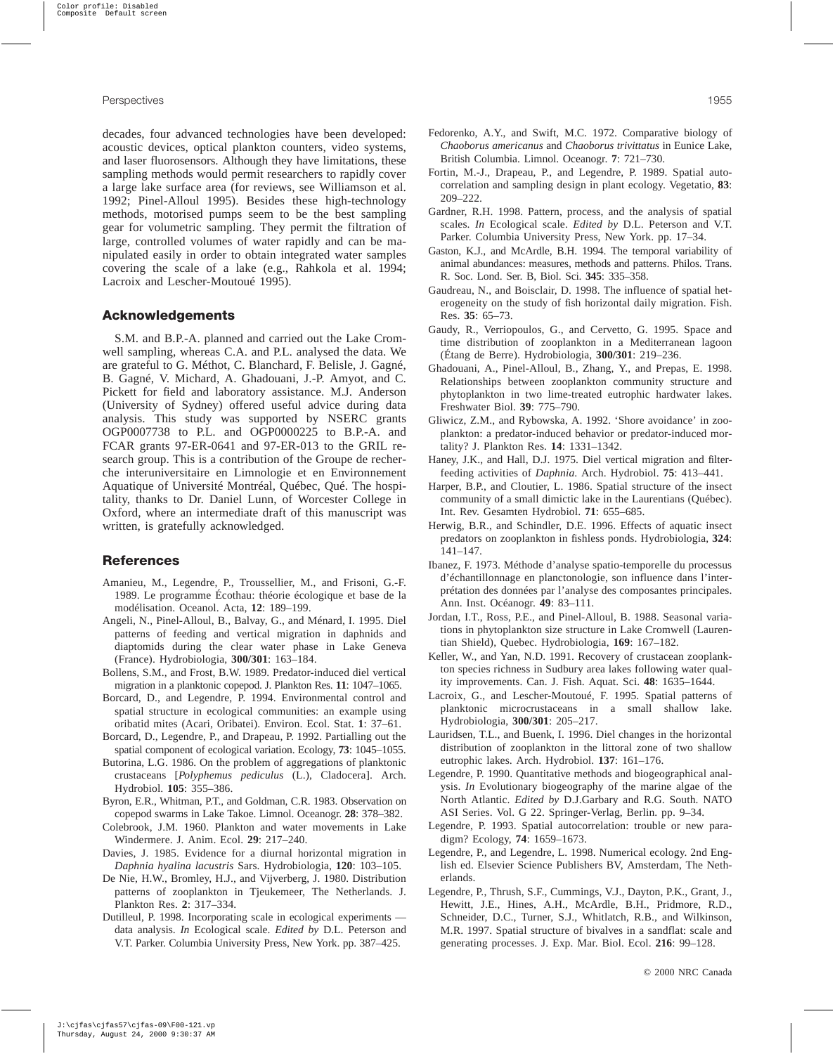decades, four advanced technologies have been developed: acoustic devices, optical plankton counters, video systems, and laser fluorosensors. Although they have limitations, these sampling methods would permit researchers to rapidly cover a large lake surface area (for reviews, see Williamson et al. 1992; Pinel-Alloul 1995). Besides these high-technology methods, motorised pumps seem to be the best sampling gear for volumetric sampling. They permit the filtration of large, controlled volumes of water rapidly and can be manipulated easily in order to obtain integrated water samples covering the scale of a lake (e.g., Rahkola et al. 1994; Lacroix and Lescher-Moutoué 1995).

## **Acknowledgements**

S.M. and B.P.-A. planned and carried out the Lake Cromwell sampling, whereas C.A. and P.L. analysed the data. We are grateful to G. Méthot, C. Blanchard, F. Belisle, J. Gagné, B. Gagné, V. Michard, A. Ghadouani, J.-P. Amyot, and C. Pickett for field and laboratory assistance. M.J. Anderson (University of Sydney) offered useful advice during data analysis. This study was supported by NSERC grants OGP0007738 to P.L. and OGP0000225 to B.P.-A. and FCAR grants 97-ER-0641 and 97-ER-013 to the GRIL research group. This is a contribution of the Groupe de recherche interuniversitaire en Limnologie et en Environnement Aquatique of Université Montréal, Québec, Qué. The hospitality, thanks to Dr. Daniel Lunn, of Worcester College in Oxford, where an intermediate draft of this manuscript was written, is gratefully acknowledged.

## **References**

- Amanieu, M., Legendre, P., Troussellier, M., and Frisoni, G.-F. 1989. Le programme Écothau: théorie écologique et base de la modélisation. Oceanol. Acta, **12**: 189–199.
- Angeli, N., Pinel-Alloul, B., Balvay, G., and Ménard, I. 1995. Diel patterns of feeding and vertical migration in daphnids and diaptomids during the clear water phase in Lake Geneva (France). Hydrobiologia, **300/301**: 163–184.
- Bollens, S.M., and Frost, B.W. 1989. Predator-induced diel vertical migration in a planktonic copepod. J. Plankton Res. **11**: 1047–1065.
- Borcard, D., and Legendre, P. 1994. Environmental control and spatial structure in ecological communities: an example using oribatid mites (Acari, Oribatei). Environ. Ecol. Stat. **1**: 37–61.
- Borcard, D., Legendre, P., and Drapeau, P. 1992. Partialling out the spatial component of ecological variation. Ecology, **73**: 1045–1055.
- Butorina, L.G. 1986. On the problem of aggregations of planktonic crustaceans [*Polyphemus pediculus* (L.), Cladocera]. Arch. Hydrobiol. **105**: 355–386.
- Byron, E.R., Whitman, P.T., and Goldman, C.R. 1983. Observation on copepod swarms in Lake Takoe. Limnol. Oceanogr. **28**: 378–382.
- Colebrook, J.M. 1960. Plankton and water movements in Lake Windermere. J. Anim. Ecol. **29**: 217–240.
- Davies, J. 1985. Evidence for a diurnal horizontal migration in *Daphnia hyalina lacustris* Sars. Hydrobiologia, **120**: 103–105.
- De Nie, H.W., Bromley, H.J., and Vijverberg, J. 1980. Distribution patterns of zooplankton in Tjeukemeer, The Netherlands. J. Plankton Res. **2**: 317–334.
- Dutilleul, P. 1998. Incorporating scale in ecological experiments data analysis. *In* Ecological scale. *Edited by* D.L. Peterson and V.T. Parker. Columbia University Press, New York. pp. 387–425.
- Fedorenko, A.Y., and Swift, M.C. 1972. Comparative biology of *Chaoborus americanus* and *Chaoborus trivittatus* in Eunice Lake, British Columbia. Limnol. Oceanogr. **7**: 721–730.
- Fortin, M.-J., Drapeau, P., and Legendre, P. 1989. Spatial autocorrelation and sampling design in plant ecology. Vegetatio, **83**: 209–222.
- Gardner, R.H. 1998. Pattern, process, and the analysis of spatial scales. *In* Ecological scale. *Edited by* D.L. Peterson and V.T. Parker. Columbia University Press, New York. pp. 17–34.
- Gaston, K.J., and McArdle, B.H. 1994. The temporal variability of animal abundances: measures, methods and patterns. Philos. Trans. R. Soc. Lond. Ser. B, Biol. Sci. **345**: 335–358.
- Gaudreau, N., and Boisclair, D. 1998. The influence of spatial heterogeneity on the study of fish horizontal daily migration. Fish. Res. **35**: 65–73.
- Gaudy, R., Verriopoulos, G., and Cervetto, G. 1995. Space and time distribution of zooplankton in a Mediterranean lagoon (Étang de Berre). Hydrobiologia, **300/301**: 219–236.
- Ghadouani, A., Pinel-Alloul, B., Zhang, Y., and Prepas, E. 1998. Relationships between zooplankton community structure and phytoplankton in two lime-treated eutrophic hardwater lakes. Freshwater Biol. **39**: 775–790.
- Gliwicz, Z.M., and Rybowska, A. 1992. 'Shore avoidance' in zooplankton: a predator-induced behavior or predator-induced mortality? J. Plankton Res. **14**: 1331–1342.
- Haney, J.K., and Hall, D.J. 1975. Diel vertical migration and filterfeeding activities of *Daphnia*. Arch. Hydrobiol. **75**: 413–441.
- Harper, B.P., and Cloutier, L. 1986. Spatial structure of the insect community of a small dimictic lake in the Laurentians (Québec). Int. Rev. Gesamten Hydrobiol. **71**: 655–685.
- Herwig, B.R., and Schindler, D.E. 1996. Effects of aquatic insect predators on zooplankton in fishless ponds. Hydrobiologia, **324**: 141–147.
- Ibanez, F. 1973. Méthode d'analyse spatio-temporelle du processus d'échantillonnage en planctonologie, son influence dans l'interprétation des données par l'analyse des composantes principales. Ann. Inst. Océanogr. **49**: 83–111.
- Jordan, I.T., Ross, P.E., and Pinel-Alloul, B. 1988. Seasonal variations in phytoplankton size structure in Lake Cromwell (Laurentian Shield), Quebec. Hydrobiologia, **169**: 167–182.
- Keller, W., and Yan, N.D. 1991. Recovery of crustacean zooplankton species richness in Sudbury area lakes following water quality improvements. Can. J. Fish. Aquat. Sci. **48**: 1635–1644.
- Lacroix, G., and Lescher-Moutoué, F. 1995. Spatial patterns of planktonic microcrustaceans in a small shallow lake. Hydrobiologia, **300/301**: 205–217.
- Lauridsen, T.L., and Buenk, I. 1996. Diel changes in the horizontal distribution of zooplankton in the littoral zone of two shallow eutrophic lakes. Arch. Hydrobiol. **137**: 161–176.
- Legendre, P. 1990. Quantitative methods and biogeographical analysis. *In* Evolutionary biogeography of the marine algae of the North Atlantic. *Edited by* D.J.Garbary and R.G. South. NATO ASI Series. Vol. G 22. Springer-Verlag, Berlin. pp. 9–34.
- Legendre, P. 1993. Spatial autocorrelation: trouble or new paradigm? Ecology, **74**: 1659–1673.
- Legendre, P., and Legendre, L. 1998. Numerical ecology. 2nd English ed. Elsevier Science Publishers BV, Amsterdam, The Netherlands.
- Legendre, P., Thrush, S.F., Cummings, V.J., Dayton, P.K., Grant, J., Hewitt, J.E., Hines, A.H., McArdle, B.H., Pridmore, R.D., Schneider, D.C., Turner, S.J., Whitlatch, R.B., and Wilkinson, M.R. 1997. Spatial structure of bivalves in a sandflat: scale and generating processes. J. Exp. Mar. Biol. Ecol. **216**: 99–128.